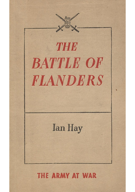₿Ξ **THE BATTLE OF FLANDERS Ian Hay THE ARMY AT WAR**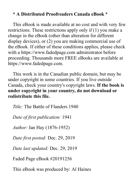## **\* A Distributed Proofreaders Canada eBook \***

This eBook is made available at no cost and with very few restrictions. These restrictions apply only if (1) you make a change in the eBook (other than alteration for different display devices), or (2) you are making commercial use of the eBook. If either of these conditions applies, please check with a https://www.fadedpage.com administrator before proceeding. Thousands more FREE eBooks are available at https://www.fadedpage.com.

This work is in the Canadian public domain, but may be under copyright in some countries. If you live outside Canada, check your country's copyright laws. **If the book is under copyright in your country, do not download or redistribute this file.**

*Title:* The Battle of Flanders 1940

*Date of first publication:* 1941

*Author:* Ian Hay (1876-1952)

*Date first posted:* Dec. 29, 2019

*Date last updated:* Dec. 29, 2019

Faded Page eBook #20191256

This eBook was produced by: Al Haines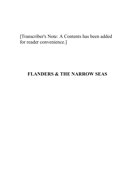[Transcriber's Note: A Contents has been added for reader convenience.]

## **FLANDERS & THE NARROW SEAS**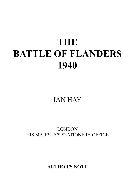# **THE BATTLE OF FLANDERS 1940**

## IAN HAY

## LONDON HIS MAJESTY'S STATIONERY OFFICE

**AUTHOR'S NOTE**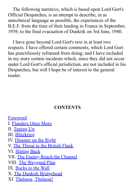The following narrative, which is based upon Lord Gort's Official Despatches, is an attempt to describe, in as untechnical language as possible, the experiences of the B.E.F. from the time of their landing in France in September, 1939, to the final evacuation of Dunkirk on 3rd June, 1940.

I have gone beyond Lord Gort's text in at least two respects. I have offered certain comments, which Lord Gort has punctiliously refrained from doing; and I have included in my story certain incidents which, since they did not occur under Lord Gort's official jurisdiction, are not included in his Despatches, but will I hope be of interest to the general reader.

## **CONTENTS**

[Foreword](#page-5-0) I. [Flanders Once More](#page-8-0) II. [Tuning Up](#page-33-0) III. [Blitzkrieg](#page-44-0) IV. [Disaster on the Right](#page-49-0) V. [The Threat to the British Flank](#page-57-0) VI. [Hitting Back](#page-64-0) VII. [The Enemy Reach the Channel](#page-71-0) VIII. [The Weygand Plan](#page-76-0) IX. [Backs to the Wall](#page-84-0) X. [The Dunkirk Bridgehead](#page-91-0) XI. [Thalassa, Thalassa!](#page-99-0)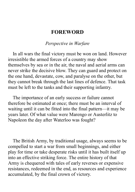## **FOREWORD**

#### *Perspective in Warfare*

<span id="page-5-0"></span>In all wars the final victory must be won on land. However irresistible the armed forces of a country may show themselves by sea or in the air, the naval and aerial arms can never strike the decisive blow. They can guard and protect on the one hand, devastate, cow, and paralyse on the other, but they cannot break through the last lines of defence. That task must be left to the tanks and their supporting infantry.

The importance of an early success or failure cannot therefore be estimated at once; there must be an interval of waiting until it can be fitted into the final pattern—it may be years later. Of what value were Marengo or Austerlitz to Napoleon the day after Waterloo was fought?

The British Army, by traditional usage, always seems to be compelled to start a war from small beginnings, and either play for time or take desperate risks until it has built itself up into an effective striking force. The entire history of that Army is chequered with tales of early reverses or expensive resistances, redeemed in the end, as resources and experience accumulated, by the final crown of victory.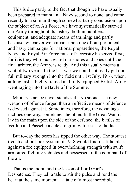This is due partly to the fact that though we have usually been prepared to maintain a Navy second to none, and came recently to a similar though somewhat tardy conclusion upon the subject of an Air Force, we have systematically starved our Army throughout its history, both in numbers, equipment, and adequate means of training; and partly because, whenever we embark upon one of our periodical and hasty campaigns for national preparedness, the Royal Navy and Royal Air Force must of necessity be served first; for it is they who must guard our shores and skies until the final arbiter, the Army, is ready. And this usually means a wait of two years. In the last war we could not really put our full military strength into the field until 1st July, 1916, when, at long last, a highly trained and fully equipped British Army went raging into the Battle of the Somme.

Military science never stands still. No sooner is a new weapon of offence forged than an effective means of defence is devised against it. Sometimes, therefore, the advantage inclines one way, sometimes the other. In the Great War, it lay in the main upon the side of the defence; the battles of Verdun and Passchendaele are grim witnesses to the fact.

But to-day the beam has tipped the other way. The stoutest trench and pill-box system of 1918 would find itself helpless against a foe equipped in overwhelming strength with swift armoured fighting vehicles and possessed of the command of the air.

That is the moral and the lesson of Lord Gort's Despatches. They tell a tale to stir the pulse and rend the heart at the same moment—a tale of almost incredible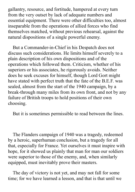gallantry, resource, and fortitude, hampered at every turn from the very outset by lack of adequate numbers and essential equipment. There were other difficulties too, almost inseparable from the operations of allied forces who find themselves matched, without previous rehearsal, against the natural dispositions of a single powerful enemy.

But a Commander-in-Chief in his Despatch does not discuss such considerations. He limits himself severely to a plain description of his own dispositions and of the operations which followed them. Criticism, whether of his superiors or his associates, he rigorously avoids. Neither does he seek excuses for himself, though Lord Gort might have stated with perfect truth that the fate of the B.E.F. was sealed, almost from the start of the 1940 campaign, by a break-through many miles from its own front, and not by any failure of British troops to hold positions of their own choosing.

But it is sometimes permissible to read between the lines.

The Flanders campaign of 1940 was a tragedy, redeemed by a heroic, superhuman conclusion, but a tragedy for all that, especially for France. Yet ourselves it must inspire with hope, for it showed us plainly that man for man our soldiers were superior to those of the enemy, and, when similarly equipped, must inevitably prove their masters.

The day of victory is not yet, and may not fall for some time; for we have learned a lesson, and that is that until we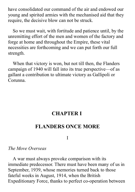have consolidated our command of the air and endowed our young and spirited armies with the mechanised aid that they require, the decisive blow can not be struck.

So we must wait, with fortitude and patience until, by the unremitting effort of the men and women of the factory and forge at home and throughout the Empire, these vital necessities are forthcoming and we can put forth our full strength.

When that victory is won, but not till then, the Flanders campaign of 1940 will fall into its true perspective—of as gallant a contribution to ultimate victory as Gallipoli or Corunna.

## **CHAPTER I**

## <span id="page-8-0"></span>**FLANDERS ONCE MORE**

I

#### *The Move Overseas*

A war must always provoke comparison with its immediate predecessor. There must have been many of us in September, 1939, whose memories turned back to those fateful weeks in August, 1914, when the British Expeditionary Force, thanks to perfect co-operation between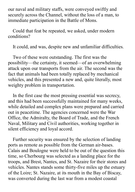our naval and military staffs, were conveyed swiftly and securely across the Channel, without the loss of a man, to immediate participation in the Battle of Mons.

Could that feat be repeated, we asked, under modern conditions?

It could, and was, despite new and unfamiliar difficulties.

Two of these were outstanding. The first was the possibility—the certainty, it seemed—of an overwhelming attack upon our transports from the air. The second was the fact that animals had been totally replaced by mechanical vehicles, and this presented a new and, quite literally, most weighty problem in transportation.

In the first case the most pressing essential was secrecy, and this had been successfully maintained for many weeks, while detailed and complex plans were prepared and carried out in peacetime. The agencies concerned were the War Office, the Admiralty, the Board of Trade, and the French Naval, Military and Civil authorities, working together in silent efficiency and loyal accord.

Further security was ensured by the selection of landing ports as remote as possible from the German air-bases. Calais and Boulogne were held to be out of the question this time, so Cherbourg was selected as a landing place for the troops, and Brest, Nantes, and St. Nazaire for their stores and vehicles. Nantes stands some thirty-five miles up the estuary of the Loire; St. Nazaire, at its mouth in the Bay of Biscay, was converted during the last war from a modest coastal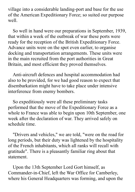village into a considerable landing-port and base for the use of the American Expeditionary Force; so suited our purpose well.

So well in hand were our preparations in September, 1939, that within a week of the outbreak of war these ports were ready for the reception of the British Expeditionary Force. Advance units were on the spot even earlier, to organise docking and transportation arrangements. These units were in the main recruited from the port authorities in Great Britain, and most efficient they proved themselves.

Anti-aircraft defences and hospital accommodation had also to be provided, for we had good reason to expect that disembarkation might have to take place under intensive interference from enemy bombers.

So expeditiously were all these preliminary tasks performed that the move of the Expeditionary Force as a whole to France was able to begin upon 10th September, one week after the declaration of war. They arrived safely on schedule time.

"Drivers and vehicles," we are told, "were on the road for long periods, but their duty was lightened by the hospitality of the French inhabitants, which all ranks will recall with gratitude". There is a pleasantly familiar ring about that statement.

Upon the 13th September Lord Gort himself, as Commander-in-Chief, left the War Office for Camberley, where his General Headquarters was forming, and upon the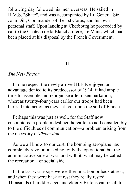following day followed his men overseas. He sailed in H.M.S. "Skate", and was accompanied by Lt. General Sir John Dill, Commander of the 1st Corps, and his own personal staff. Upon landing at Cherbourg he proceeded by car to the Chateau de la Blanchardière, Le Mans, which had been placed at his disposal by the French Government.

#### II

#### *The New Factor*

In one respect the newly arrived B.E.F. enjoyed an advantage denied to its predecessor of 1914: it had ample time to assemble and reorganise after disembarkation; whereas twenty-four years earlier our troops had been hurried into action as they set foot upon the soil of France.

Perhaps this was just as well, for the Staff now encountered a problem destined hereafter to add considerably to the difficulties of communication—a problem arising from the necessity of *dispersion*.

As we all know to our cost, the bombing aeroplane has completely revolutionised not only the operational but the administrative side of war; and with it, what may be called the recreational or social side.

In the last war troops were either in action or back at rest; and when they were back at rest they really rested. Thousands of middle-aged and elderly Britons can recall to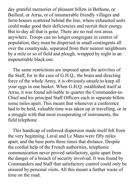day grateful memories of pleasant billets in Bethune, or Bailleul, or Arras, or of innumerable friendly villages and farm-houses scattered behind the line, where exhausted units could make good their deficiencies and recruit their energy. But to-day all that is gone. There are no real rest areas anywhere. Troops can no longer congregate in centres of population; they must be dispersed in small contingents all over the countryside, separated from their nearest neighbours by a mile or so of field and plough, wrapped by night in an impenetrable black-out.

The same restrictions are imposed upon the activities of the Staff, for in the case of G.H.Q., the brain and directing force of the whole Army, it is obviously unsafe to keep all your eggs in one basket. When G.H.Q. established itself at Arras, it was found advisable to quarter the Commander-in-Chief and his principal Staff Officers each in separate billets some miles apart. This meant that whenever a conference had to be held, valuable time was taken up in travelling, or in a struggle with that most exasperating of instruments, the field telephone.

This handicap of enforced dispersion made itself felt from the very beginning. Laval and Le Mans were fifty miles apart, and the base ports three times that distance. Despite the cordial help of the French authorities, telephonic communication never proved satisfactory, quite apart from the danger of a breach of security involved. It was found by Commanders and Staff that satisfactory control could only be ensured by personal visits. All this meant a further waste of time on the road.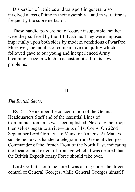Dispersion of vehicles and transport in general also involved a loss of time in their assembly—and in war, time is frequently the supreme factor.

These handicaps were not of course insuperable, neither were they suffered by the B.E.F. alone. They were imposed impartially upon both sides by modern conditions of warfare. Moreover, the months of comparative tranquility which followed gave to our young and inexperienced Army breathing space in which to accustom itself to its new problems.

#### III

#### *The British Sector*

By 21st September the concentration of the General Headquarters Staff and of the essential Lines of Communication units was accomplished. Next day the troops themselves began to arrive—units of 1st Corps. On 22nd September Lord Gort left Le Mans for Amiens. At Mantessur-Seine he was handed a telegram from General Georges, Commander of the French Front of the North East, indicating the location and extent of frontage which it was desired that the British Expeditionary Force should take over.

Lord Gort, it should be noted, was acting under the direct control of General Georges, while General Georges himself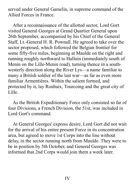served under General Gamelin, in supreme command of the Allied Forces in France.

After a reconnaissance of the allotted sector, Lord Gort visited General Georges at Grand Quartier General upon 26th September, accompanied by his Chief of the General Staff, Lt.-General H. R. Pownall. He agreed to take over the sector proposed, which followed the Belgian frontier for some fifty-five miles, beginning at Maulde on the right and running roughly northward to Halluin (immediately south of Menin on the Lille-Menin road), turning thence in a southwesterly direction along the River Lys—a name familiar to many a British soldier of the last war—as far as even more familiar Armentières. Within the salient formed, and protected by it, lay Roubaix, Tourcoing and the great city of Lille.

As the British Expeditionary Force only consisted so far of four Divisions, a French Division, the 51st, was included in Lord Gort's command.

At General Georges' express desire, Lord Gort did not wait for the arrival of his entire present Force in its concentration area, but agreed to move 1st Corps into the line without delay, in the sector running north from Maulde. They were to be in position by 5th October, and General Georges was informed that 2nd Corps would join them a week later.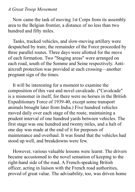#### *A Great Troop Movement*

Now came the task of moving 1st Corps from its assembly area to the Belgian frontier, a distance of no less than two hundred and fifty miles.

Tanks, tracked vehicles, and slow-moving artillery were despatched by train; the remainder of the Force proceeded by three parallel routes. Three days were allotted for the move of each formation. Two "Staging areas" were arranged on each road, south of the Somme and Seine respectively. Antiaircraft protection was provided at each crossing—another pregnant sign of the times.

It will be interesting for a moment to examine the composition of this vast and novel cavalcade. ("Cavalcade" is a misnomer in itself, for there were no horses in the British Expeditionary Force of 1939-40, except some transport animals brought later from India.) Five hundred vehicles moved daily over each stage of the route, maintaining a prudent interval of one hundred yards between vehicles. The first stage was one hundred and twenty miles, and a halt of one day was made at the end of it for purposes of maintenance and overhaul. It was found that the vehicles had stood up well, and breakdowns were few.

However, various valuable lessons were learnt. The drivers became accustomed to the novel sensation of keeping to the right-hand side of the road. A French-speaking British officer, acting in liaison with the French road authorities, proved of great value. The advisability, too, was driven home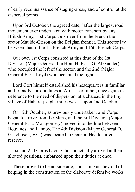of early reconnaissance of staging-areas, and of control at the dispersal points.

Upon 3rd October, the agreed date, "after the largest road movement ever undertaken with motor transport by any British Army," 1st Corps took over from the French the sector Maulde-Grison on the Belgian frontier. This sector lay between that of the 1st French Army and 16th French Corps.

Our own 1st Corps consisted at this time of the 1st Division (Major General the Hon. H. R. L. G. Alexander) who occupied the left of the sector, and the 2nd (Major General H. C. Loyd) who occupied the right.

Lord Gort himself established his headquarters in familiar and friendly surroundings at Arras—or rather, once again in deference to the need of dispersion, at a chateau in the tiny village of Habarcq, eight miles west—upon 2nd October.

On 12th October, as previously undertaken, 2nd Corps began to arrive from Le Mans, and the 3rd Division (Major General B. L. Montgomery) moved into the line between Bouvines and Lannoy. The 4th Division (Major General D. G. Johnson, V.C.) was located in General Headquarters reserve.

1st and 2nd Corps having thus punctually arrived at their allotted positions, embarked upon their duties at once.

These proved to be no sinecure, consisting as they did of helping in the construction of the elaborate defensive works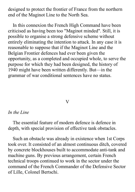designed to protect the frontier of France from the northern end of the Maginot Line to the North Sea.

In this connexion the French High Command have been criticised as having been too "Maginot minded". Still, it is possible to organise a strong defensive scheme without entirely eliminating the intention to attack. In any case it is reasonable to suppose that if the Maginot Line and the Belgian Frontier defences had ever been given the opportunity, as a completed and occupied whole, to serve the purpose for which they had been designed, the history of 1940 might have been written differently. But—in the grammar of war conditional sentences have no status.

#### V

#### *In the Line*

The essential feature of modern defence is defence in depth, with special provision of effective tank obstacles.

Such an obstacle was already in existence when 1st Corps took over. It consisted of an almost continuous ditch, covered by concrete blockhouses built to accommodate anti-tank and machine guns. By previous arrangement, certain French technical troops continued to work in the sector under the command of the French Commander of the Defensive Sector of Lille, Colonel Bertschi.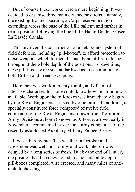But of course these works were a mere beginning. It was decided to organise three main defence positions—namely, the existing frontier position, a Corps reserve position extending across the base of the Lille salient, and further in rear a position following the line of the Haute-Deule, Sensée-La Bassée Canals.

This involved the construction of an elaborate system of field defences, including "pill-boxes", to afford protection to those weapons which formed the backbone of fire-defence throughout the whole depth of the positions. To save time, these pill-boxes were so standardised as to accommodate both British and French weapons.

Here then was work in plenty for all, and of a most intensive character, for none could know how much time was available. Work upon the pill-boxes was immediately begun by the Royal Engineers, assisted by other arms. In addition, a specially constituted force composed of twelve field companies of the Royal Engineers (drawn from Territorial Army Divisions at home) known as X Force, arrived early in November, accompanied by certain sturdy companies of the recently established Auxiliary Military Pioneer Corps.

It was a hard winter. The weather in October and November was wet and stormy, and work later on was delayed by a long series of frosts. But by the end of January the position had been developed to a considerable depth pill-boxes completed, wire erected, and many miles of antitank ditches dug.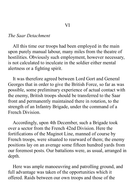#### *The Saar Detachment*

All this time our troops had been employed in the main upon purely manual labour, many miles from the theatre of hostilities. Obviously such employment, however necessary, is not calculated to inculcate in the soldier either mental alertness or a fighting spirit.

It was therefore agreed between Lord Gort and General Georges that in order to give the British Force, so far as was possible, some preliminary experience of actual contact with the enemy, British troops should be transferred to the Saar front and permanently maintained there in rotation, to the strength of an Infantry Brigade, under the command of a French Division.

Accordingly, upon 4th December, such a Brigade took over a sector from the French 42nd Division. Here the fortifications of the Maginot Line, manned of course by French troops, were situated to rearward of them; the enemy positions lay on an average some fifteen hundred yards from our foremost posts. Our battalions were, as usual, arranged in depth.

Here was ample manoeuvring and patrolling ground, and full advantage was taken of the opportunities which it offered. Raids between our own troops and those of the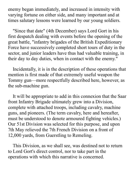enemy began immediately, and increased in intensity with varying fortune on either side, and many important and at times salutary lessons were learned by our young soldiers.

"Since that date" (4th December) says Lord Gort in his first despatch dealing with events before the opening of the great battle, "infantry brigades of the British Expeditionary Force have successively completed short tours of duty in the sector, and junior leaders have thus had valuable training, in their day to day duties, when in contact with the enemy."

Incidentally, it is in the description of these operations that mention is first made of that extremely useful weapon the Tommy gun—more respectfully described here, however, as the sub-machine gun.

It will be appropriate to add in this connexion that the Saar front Infantry Brigade ultimately grew into a Division, complete with attached troops, including cavalry, machine guns, and pioneers. (The term cavalry, here and hereafter, must be understood to denote armoured fighting vehicles.) Our 51st Division was selected for this purpose, and upon 7th May relieved the 7th French Division on a front of 12,000 yards, from Guerstling to Remeling.

This Division, as we shall see, was destined not to return to Lord Gort's direct control, nor to take part in the operations with which this narrative is concerned.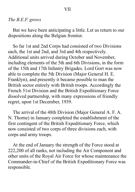#### VII

#### *The B.E.F. grows*

But we have been anticipating a little. Let us return to our dispositions along the Belgian frontier.

So far 1st and 2nd Corps had consisted of two Divisions each, the 1st and 2nd, and 3rd and 4th respectively. Additional units arrived during October and November, including elements of the 5th and 6th Divisions, in the form of the 15th and 17th Infantry Brigades. Lord Gort was now able to complete the 5th Division (Major General H. E. Franklyn), and presently it became possible to man the British sector entirely with British troops. Accordingly the French 51st Division and the British Expeditionary Force dissolved partnership, with many expressions of friendly regret, upon 1st December, 1939.

The arrival of the 48th Division (Major General A. F. A. N. Thorne) in January completed the establishment of the first contingent of the British Expeditionary Force, which now consisted of two corps of three divisions each, with corps and army troops.

At the end of January the strength of the Force stood at 222,200 of all ranks, not including the Air Component and other units of the Royal Air Force for whose maintenance the Commander-in-Chief of the British Expeditionary Force was responsible.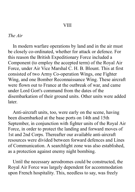## **VIII**

#### *The Air*

In modern warfare operations by land and in the air must be closely co-ordinated, whether for attack or defence. For this reason the British Expeditionary Force included a Component (to employ the accepted term) of the Royal Air Force, under Air Vice Marshal C. H. B. Blount. This at first consisted of two Army Co-operation Wings, one Fighter Wing, and one Bomber Reconnaissance Wing. These aircraft were flown out to France at the outbreak of war, and came under Lord Gort's command from the dates of the disembarkation of their ground units. Other units were added later.

Anti-aircraft units, too, were early on the scene, having been disembarked at the base ports on 14th and 15th September, in conjunction with fighter units of the Royal Air Force, in order to protect the landing and forward moves of 1st and 2nd Corps. Thereafter our available anti-aircraft resources were divided between forward defences and Lines of Communication. A searchlight zone was also established, as a protection against enemy night bombing.

Until the necessary aerodromes could be constructed, the Royal Air Force was largely dependent for accommodation upon French hospitality. This, needless to say, was freely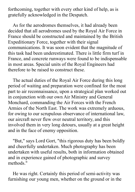forthcoming, together with every other kind of help, as is gratefully acknowledged in the Despatch.

As for the aerodromes themselves, it had already been decided that all aerodromes used by the Royal Air Force in France should be constructed and maintained by the British Expeditionary Force, together with their signal communications. It was soon evident that the magnitude of this task had been underestimated. There is little firm turf in France, and concrete runways were found to be indispensable in most areas. Special units of the Royal Engineers had therefore to be raised to construct these.

The actual duties of the Royal Air Force during this long period of waiting and preparation were confined for the most part to air reconnaissance, upon a strategical plan worked out in conjunction with our own Air Ministry and General Monchard, commanding the Air Forces with the French Armies of the North East. The work was extremely arduous, for owing to our scrupulous observance of international law, our aircraft never flew over neutral territory, and this involved them in very long detours, usually at a great height and in the face of enemy opposition.

"But," says Lord Gort, "this rigorous duty has been boldly and cheerfully undertaken. Much photography has been undertaken with useful results, both in information obtained and in experience gained of photographic and survey methods."

He was right. Certainly this period of semi-activity was furnishing our young men, whether on the ground or in the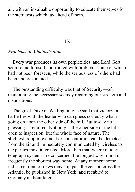air, with an invaluable opportunity to educate themselves for the stern tests which lay ahead of them.

#### IX

#### *Problems of Administration*

Every war produces its own perplexities, and Lord Gort soon found himself confronted with problems some of which had not been foreseen, while the seriousness of others had been underestimated.

The outstanding difficulty was that of Security—of maintaining the necessary secrecy regarding our strength and dispositions.

The great Duke of Wellington once said that victory in battle lies with the leader who can guess correctly what is going on upon the other side of the hill. But to-day no guessing is required. Not only is the other side of the hill open to inspection, but the whole face of nature. The slightest troop movement or concentration can be detected from the air and immediately communicated by wireless to the parties most interested. More than that; where modern telegraph systems are concerned, the longest way round is frequently the shortest way home. At any moment some indiscreet item of news may slip past the censor, cross the Atlantic, be published in New York, and recabled to Germany an hour later.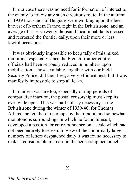In our case there was no need for information of interest to the enemy to follow any such circuitous route. In the autumn of 1939 thousands of Belgians were working upon the beetharvest of Northern France, right in the British zone, and an average of at least twenty thousand local inhabitants crossed and recrossed the frontier daily, upon their more or less lawful occasions.

It was obviously impossible to keep tally of this mixed multitude, especially since the French frontier control officials had been seriously reduced in numbers upon mobilisation. Those available, together with our Field Security Police, did their best, a very efficient best; but it was manifestly impossible to stop all leaks.

In modern warfare too, especially during periods of comparative inaction, the postal censorship must keep its eyes wide open. This was particularly necessary in the British zone during the winter of 1939-40, for Thomas Atkins, incited thereto perhaps by the tranquil and somewhat monotonous surroundings in which he found himself, developed a passion for correspondence on a scale which had not been entirely foreseen. In view of the abnormally large numbers of letters despatched daily it was found necessary to make a considerable increase in the censorship personnel.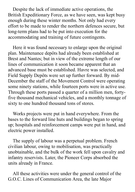Despite the lack of immediate active operations, the British Expeditionary Force, as we have seen, was kept busy enough during these winter months. Not only had every effort to be made to render the northern defences secure, but long-term plans had to be put into execution for the accommodating and training of future contingents.

Here it was found necessary to enlarge upon the original plan. Maintenance depôts had already been established at Brest and Nantes; but in view of the extreme length of our lines of communication it soon became apparent that an advanced base must be established. Havre was selected, and Field Supply Depôts were set up further forward. By mid-December the staff of the Movement Control were operating some ninety stations, while fourteen ports were in active use. Through these ports passed a quarter of a million men, fortyfive thousand mechanical vehicles, and a monthly tonnage of sixty to one hundred thousand tons of stores.

Works projects were put in hand everywhere. From the bases to the forward line huts and buildings began to spring up; hospitals and reinforcement camps were put in hand, and electric power installed.

The supply of labour was a perpetual problem. French civilian labour, owing to mobilisation, was practically unobtainable, and the bulk of the work fell upon cavalry and infantry reservists. Later, the Pioneer Corps absorbed the units already in France.

All these activities were under the general control of the G.O.C. Lines of Communication Area, the late Major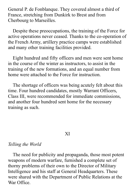General P. de Fonblanque. They covered almost a third of France, stretching from Dunkirk to Brest and from Cherbourg to Marseilles.

Despite these preoccupations, the training of the Force for active operations never ceased. Thanks to the co-operation of the French Army, artillery practice camps were established and many other training facilities provided.

Eight hundred and fifty officers and men were sent home in the course of the winter as instructors, to assist in the training of the new formations, and an equal number from home were attached to the Force for instruction.

The shortage of officers was being acutely felt about this time. Four hundred candidates, mostly Warrant Officers, Class III, were recommended for immediate commissions, and another four hundred sent home for the necessary training as such.

XI

#### *Telling the World*

The need for publicity and propaganda, those most potent weapons of modern warfare, furnished a complete set of thorny problems of their own to the Director of Military Intelligence and his staff at General Headquarters. These were shared with the Department of Public Relations at the War Office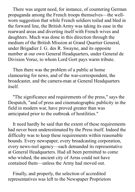There was urgent need, for instance, of countering German propaganda among the French troops themselves—the wellworn suggestion that while French soldiers toiled and bled in the forward line, the British Army was taking its ease in the rearward areas and diverting itself with French wives and daughters. Much was done in this direction through the medium of the British Mission at Grand Quartier General, under Brigadier J. G. des R. Swayne, and its opposite number at our own General Headquarters, under General de Division Voruz, to whom Lord Gort pays warm tribute.

Then there was the problem of a public at home clamouring for news, and of the war-correspondent, the broadcaster, and the camera-man at General Headquarters itself.

"The significance and requirements of the press," says the Despatch, "and of press and cinematographic publicity in the field in modern war, have proved greater than was anticipated prior to the outbreak of hostilities."

It need hardly be said that the extent of these requirements had never been underestimated by the Press itself. Indeed the difficulty was to keep these requirements within reasonable bounds. Every newspaper, every broadcasting corporation, every news-reel agency—each demanded its representative at General Headquarters. Had all been permitted to come who wished, the ancient city of Arras could not have contained them—unless the Army had moved out.

Finally, and properly, the selection of accredited representatives was left to the Newspaper Proprietors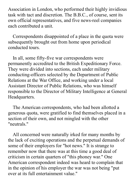Association in London, who performed their highly invidious task with tact and discretion. The B.B.C., of course, sent its own official representatives, and five news-reel companies each contributed a unit.

Correspondents disappointed of a place in the quota were subsequently brought out from home upon periodical conducted tours.

In all, some fifty-five war correspondents were permanently accredited to the British Expeditionary Force. They were divided into sections, each under military conducting-officers selected by the Department of Public Relations at the War Office, and working under a local Assistant Director of Public Relations, who was himself responsible to the Director of Military Intelligence at General Headquarters.

The American correspondents, who had been allotted a generous quota, were gratified to find themselves placed in a section of their own, and not mingled with the other "neutrals."

All concerned were naturally irked for many months by the lack of exciting operations and the perpetual demands of some of their employers for "hot news." It is strange to remember now that there was at this time a good deal of criticism in certain quarters of "this phoney war." One American correspondent indeed was heard to complain that in the opinion of his employer the war was not being "put over at its full entertainment value."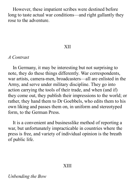However, these impatient scribes were destined before long to taste actual war conditions—and right gallantly they rose to the adventure.

#### XII

#### *A Contrast*

In Germany, it may be interesting but not surprising to note, they do these things differently. War correspondents, war artists, camera-men, broadcasters—all are enlisted in the Army, and serve under military discipline. They go into action carrying the tools of their trade, and when (and if) they come out, they publish their impressions to the world; or rather, they hand them to Dr Goebbels, who edits them to his own liking and passes them on, in uniform and stereotyped form, to the German Press.

It is a convenient and businesslike method of reporting a war, but unfortunately impracticable in countries where the press is free, and variety of individual opinion is the breath of public life.

#### XIII

*Unbending the Bow*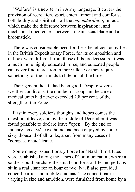"Welfare" is a new term in Army language. It covers the provision of recreation, sport, entertainment and comforts, both bodily and spiritual—all the *imponderabilia*, in fact, which make the difference between inspirational and mechanical obedience—between a Damascus blade and a broomstick.

There was considerable need for these beneficent activities in the British Expeditionary Force, for its composition and outlook were different from those of its predecessors. It was a much more highly educated Force, and educated people can never find recreation in mere idleness: they require something for their minds to bite on, all the time.

Their general health had been good. Despite severe weather conditions, the number of troops in the care of medical units had never exceeded 2.8 per cent. of the strength of the Force.

First in every soldier's thoughts and hopes comes the question of leave, and by the middle of December it was found possible to declare leave "open." By the end of January ten days' leave home had been enjoyed by some sixty thousand of all ranks, apart from many cases of "compassionate" leave.

Some ninety Expeditionary Force (or "Naafi") Institutes were established along the Lines of Communication, where a soldier could purchase the small comforts of life and perhaps sit in a real chair for an hour or two. Naafi also provided concert parties and mobile cinemas. The concert parties, varying in size and ambition, were furnished from home by a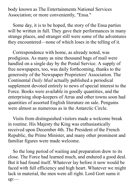body known as The Entertainments National Services Association; or more conveniently, "Ensa."

Some day, it is to be hoped, the story of the Ensa parties will be written in full. They gave their performances in many strange places, and stranger still were some of the adventures they encountered—none of which loses in the telling of it.

Correspondence with home, as already noted, was prodigious. As many as nine thousand bags of mail were handled on a single day by the Postal Service. A supply of free newspapers, too, was daily forthcoming, thanks to the generosity of the Newspaper Proprietors' Association. The Continental *Daily Mail* actually published a periodical supplement devoted entirely to news of special interest to the Force. Books were available in goodly quantities, and the enterprising shop-keepers of Arras and other towns soon had quantities of assorted English literature on sale. Penguins were almost as numerous as in the Antarctic Circle.

Visits from distinguished visitors made a welcome break in routine. His Majesty the King was enthusiastically received upon December 4th. The President of the French Republic, the Prime Minister, and many other prominent and familiar figures were made welcome.

So the long period of waiting and preparation drew to its close. The Force had learned much, and endured a good deal. But it had found itself. Whatever lay before it now would be faced with full efficiency and high heart. Whatever we might lack in material, the men were all right. Lord Gort sums it up:—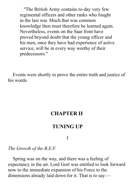"The British Army contains to-day very few regimental officers and other ranks who fought in the last war. Much that was common knowledge then must therefore be learned again. Nevertheless, events on the Saar front have proved beyond doubt that the young officer and his men, once they have had experience of active service, will be in every way worthy of their predecessors."

<span id="page-33-0"></span>Events were shortly to prove the entire truth and justice of his words.

## **CHAPTER II**

## **TUNING UP**

#### I

*The Growth of the B.E.F.*

Spring was on the way, and there was a feeling of expectancy in the air. Lord Gort was entitled to look forward now to the immediate expansion of his Force to the dimensions already laid down for it. That is to say:—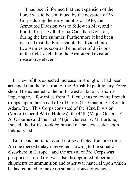"I had been informed that the expansion of the Force was to be continued by the despatch of 3rd Corps during the early months of 1940; the Armoured Division was to follow in May, and a Fourth Corps, with the 1st Canadian Division, during the late summer. Furthermore it had been decided that the Force should be divided into two Armies as soon as the number of divisions in the field, excluding the Armoured Division, rose above eleven."

In view of this expected increase in strength, it had been arranged that the left front of the British Expeditionary Force should be extended to the north-west as far as Croix-de-Poperinghe, a few miles from Bailleul, thus relieving French troops, upon the arrival of 3rd Corps (Lt. General Sir Ronald Adam, Bt.). This Corps consisted of the 42nd Division (Major-General W. G. Holmes), the 44th (Major-General E. A. Osborne) and the 51st (Major-General V. M. Fortune). Indeed, the British took command of the new sector upon February 1st.

But the actual relief could not be effected for some time. An unexpected delay intervened, "owing to the situation elsewhere in Europe," and the arrival of 3rd Corps was postponed. Lord Gort was also disappointed of certain shipments of ammunition and other war material upon which he had counted to make up some serious deficiencies.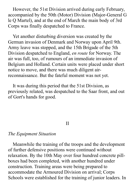However, the 51st Division arrived during early February, accompanied by the 50th (Motor) Division (Major-General G le Q Martel), and at the end of March the main body of 3rd Corps was finally despatched to France.

Yet another disturbing diversion was created by the German invasion of Denmark and Norway upon April 9th. Army leave was stopped, and the 15th Brigade of the 5th Division despatched to England, *en route* for Norway. The air was full, too, of rumours of an immediate invasion of Belgium and Holland. Certain units were placed under short notice to move, and there was much diligent airreconnaissance. But the fateful moment was not yet.

It was during this period that the 51st Division, as previously related, was despatched to the Saar front, and out of Gort's hands for good.

#### II

#### *The Equipment Situation*

Meanwhile the training of the troops and the development of further defensive positions were continued without relaxation. By the 10th May over four hundred concrete pillboxes had been completed, with another hundred under construction. Training areas were being prepared to accommodate the Armoured Division on arrival; Corps Schools were established for the training of junior leaders. In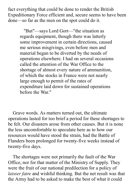fact everything that could be done to render the British Expeditionary Force efficient and, secure seems to have been done—so far as the men on the spot could do it.

> "But"—says Lord Gort—"the situation as regards equipment, though there was latterly some improvement in certain directions, caused me serious misgivings, even before men and material began to be diverted by the needs of operations elsewhere. I had on several occasions called the attention of the War Office to the shortage of almost every nature of ammunition, of which the stocks in France were not nearly large enough to permit of the rates of expenditure laid down for sustained operations before the War."

Grave words. As matters turned out, the ultimate operations lasted for too brief a period for these shortages to be felt. Our disasters arose from other causes. But it is none the less uncomfortable to speculate here as to how our resources would have stood the strain, had the Battle of Flanders been prolonged for twenty-five weeks instead of twenty-five days.

The shortages were not primarily the fault of the War Office, nor for that matter of the Ministry of Supply. They were the fruit of our national predilection for a policy of *laisser faire* and wishful thinking. But the net result was that the Army had to be asked to make the best of what it could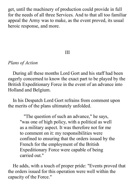get, until the machinery of production could provide in full for the needs of all three Services. And to that all too familiar appeal the Army was to make, as the event proved, its usual heroic response, and more.

## III

## *Plans of Action*

During all these months Lord Gort and his staff had been eagerly concerned to know the exact part to be played by the British Expeditionary Force in the event of an advance into Holland and Belgium.

In his Despatch Lord Gort refrains from comment upon the merits of the plans ultimately unfolded.

> "The question of such an advance," he says, "was one of high policy, with a political as well as a military aspect. It was therefore not for me to comment on it: my responsibilities were confined to ensuring that the orders issued by the French for the employment of the British Expeditionary Force were capable of being carried out."

He adds, with a touch of proper pride: "Events proved that the orders issued for this operation were well within the capacity of the Force."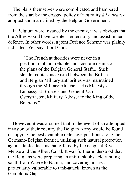The plans themselves were complicated and hampered from the start by the dogged policy of neutrality *à l'outrance* adopted and maintained by the Belgian Government.

If Belgium were invaded by the enemy, it was obvious that the Allies would have to enter her territory and assist in her defence. In other words, a joint Defence Scheme was plainly indicated. Yet, says Lord Gort:—

> "The French authorities were never in a position to obtain reliable and accurate details of the plans of the Belgian General Staff.... Such slender contact as existed between the British and Belgian Military authorities was maintained through the Military Attaché at His Majesty's Embassy at Brussels and General Van Overstraeten, Military Adviser to the King of the Belgians."

However, it was assumed that in the event of an attempted invasion of their country the Belgian Army would be found occupying the best available defensive positions along the Germano-Belgian frontier, utilising such natural protection against tank attack as that offered by the deep-set River Meuse and the Albert Canal. It was further understood that the Belgians were preparing an anti-tank obstacle running south from Wavre to Namur, and covering an area particularly vulnerable to tank-attack, known as the Gembloux Gap.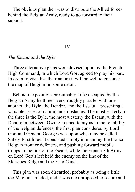The obvious plan then was to distribute the Allied forces behind the Belgian Army, ready to go forward to their support.

#### IV

### *The Escaut and the Dyle*

Three alternative plans were devised upon by the French High Command, in which Lord Gort agreed to play his part. In order to visualise their nature it will be well to consider the map of Belgium in some detail.

Behind the positions presumably to be occupied by the Belgian Army lie three rivers, roughly parallel with one another, the Dyle, the Dendre, and the Escaut—presenting a valuable series of natural tank obstacles. The most easterly of the three is the Dyle, the most westerly the Escaut, with the Dendre in between. Owing to uncertainty as to the reliability of the Belgian defences, the first plan considered by Lord Gort and General Georges was upon what may be called Safety First lines. It consisted simply in manning the Franco-Belgian frontier defences, and pushing forward mobile troops to the line of the Escaut, while the French 7th Army on Lord Gort's left held the enemy on the line of the Messines Ridge and the Yser Canal.

This plan was soon discarded, probably as being a little too Maginot-minded, and it was next proposed to secure and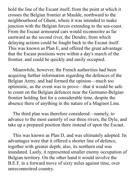hold the line of the Escant itself, from the point at which it crosses the Belgian frontier at Maulde, northward to the neighbourhood of Ghent, where it was intended to make junction with the Belgian forces extending to the sea-coast. From the Escaut armoured cars would reconnoitre as far eastward as the second river, the Dendre, from which delaying actions could be fought back to the Escaut itself. This was known as Plan E, and offered the great advantage that the Escaut positions were within a day's march of the frontier, and could be quickly and easily occupied.

Meanwhile, however, the French authorities had been acquiring further information regarding the defences of the Belgian Army, and had formed the opinion—much too optimistic, as the event was to prove—that it would be safe to count on the Belgian defences near the Germano-Belgian frontier holding fast for a considerable time, despite the absence there of anything in the nature of a Maginot Line.

The third plan was therefore considered—namely, to advance to the most easterly of our three rivers, the Dyle, and take up a prepared position there instead of upon the Escaut.

This was known as Plan D, and was ultimately adopted. Its advantages were that it offered a shorter line of defence, together with greater depth; also, its northern end was inundated. Lastly, it represented smaller enemy occupation of Belgian territory. On the other hand it would involve the B.E.F. in a forward move of sixty miles against time, over unreconnoitred country.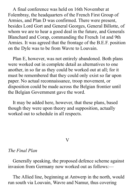A final conference was held on 16th November at Folembray, the headquarters of the French First Group of Armies, and Plan D was confirmed. There were present, besides Lord Gort and General Georges, General Billotte, of whom we are to hear a good deal in the future, and Generals Blanchard and Corap, commanding the French 1st and 9th Armies. It was agreed that the frontage of the B.E.F. position on the Dyle was to be from Wavre to Louvain.

Plan E, however, was not entirely abandoned. Both plans were worked out in complete detail as alternatives to one another, in so far as they could be worked out at all; for it must be remembered that they could only exist so far upon paper. No actual reconnaissance, troop movement, or disposition could be made across the Belgian frontier until the Belgian Government gave the word.

It may be added here, however, that these plans, based though they were upon theory and supposition, actually worked out to schedule in all respects.

#### $\rm V$

## *The Final Plan*

Generally speaking, the proposed defence scheme against invasion from Germany now worked out as follows:—

The Allied line, beginning at Antwerp in the north, would run south via Louvain, Wavre and Namur, thus covering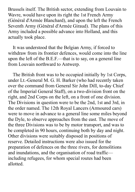Brussels itself. The British sector, extending from Louvain to Wavre, would have upon its right the 1st French Army (Général d'Armée Blanchard), and upon the left the French Seventh Army (Général d'Armée Giraud). The plans of this Army included a possible advance into Holland, and this actually took place.

It was understood that the Belgian Army, if forced to withdraw from its frontier defences, would come into the line upon the left of the B.E.F.—that is to say, on a general line from Louvain northward to Antwerp.

The British front was to be occupied initially by 1st Corps, under Lt.-General M. G. H. Barker (who had recently taken over the command from General Sir John Dill, to-day Chief of the Imperial General Staff), on a two-division front on the right, and 2nd Corps on the left, on a front of one division. The Divisions in question were to be the 2nd, 1st and 3rd, in the order named. The 12th Royal Lancers (Armoured cars) were to move in advance to a general line some miles beyond the Dyle, to observe approaches from the east. The move of the three Divisions was to be by motor transport, and was to be completed in 90 hours, continuing both by day and night. Other divisions were suitably disposed in positions of reserve. Detailed instructions were also issued for the preparation of defences on the three rivers, for demolitions and inundations, and the organisation of road traffic including refugees, for whom special routes had been allotted.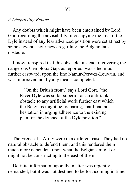## *A Disquieting Report*

Any doubts which might have been entertained by Lord Gort regarding the advisability of occupying the line of the Dyle instead of any less advanced position were set at rest by some eleventh-hour news regarding the Belgian tankobstacle.

It now transpired that this obstacle, instead of covering the dangerous Gembloux Gap, as reported, was sited much further eastward, upon the line Namur-Perwez-Louvain, and was, moreover, not by any means completed.

"On the British front," says Lord Gort, "the River Dyle was so far superior as an anti-tank obstacle to any artificial work further east which the Belgians might be preparing, that I had no hesitation in urging adherence to the existing plan for the defence of the Dyle position."

The French 1st Army were in a different case. They had no natural obstacle to defend them, and this rendered them much more dependent upon what the Belgians might or might not be constructing to the east of them.

Definite information upon the matter was urgently demanded, but it was not destined to be forthcoming in time.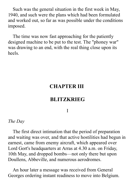Such was the general situation in the first week in May, 1940, and such were the plans which had been formulated and worked out, so far as was possible under the conditions imposed.

The time was now fast approaching for the patiently designed machine to be put to the test. The "phoney war" was drawing to an end, with the real thing close upon its heels.

# **CHAPTER III**

# **BLITZKRIEG**

#### I

#### *The Day*

The first direct intimation that the period of preparation and waiting was over, and that active hostilities had begun in earnest, came from enemy aircraft, which appeared over Lord Gort's headquarters at Arras at 4.30 a.m. on Friday, 10th May, and dropped bombs—not only there but upon Doullens, Abbeville, and numerous aerodromes.

An hour later a message was received from General Georges ordering instant readiness to move into Belgium.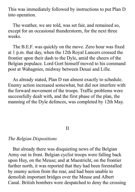This was immediately followed by instructions to put Plan D into operation.

The weather, we are told, was set fair, and remained so, except for an occasional thunderstorm, for the next three weeks.

The B.E.F. was quickly on the move. Zero hour was fixed at 1 p.m. that day, when the 12th Royal Lancers crossed the frontier upon their dash to the Dyle, amid the cheers of the Belgian populace. Lord Gort himself moved to his command post at Wahagnies, midway between Douai and Lille.

As already stated, Plan D ran almost exactly to schedule. Enemy action increased somewhat, but did not interfere with the forward movement of the troops. Traffic problems were successfully dealt with, and the first phase of the plan, the manning of the Dyle defences, was completed by 12th May.

II

## *The Belgian Dispositions*

But already there was disquieting news of the Belgian Army out in front. Belgian cyclist troops were falling back upon Huy, on the Meuse; and at Maestricht, on the frontier further north, it was reported that they had been forestalled by enemy action from the rear, and had been unable to demolish important bridges over the Meuse and Albert Canal. British bombers were despatched to deny the crossing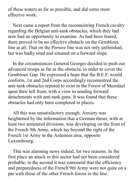of these waters as far as possible, and did some most effective work.

Next came a report from the reconnoitring French cavalry regarding the Belgian anti-tank obstacles, which they had now had an opportunity to examine. As had been feared, there proved to be no effective obstacle on the Gembloux line at all. That on the Perwez line was not only unfinished, but was badly sited and situated on a forward slope.

In the circumstances General Georges decided to push out advanced troops as far as the obstacle, in order to cover the Gembloux Gap. He expressed a hope that the B.E.F. would conform, 1st and 2nd Corps accordingly reconnoitred the anti-tank obstacles reputed to exist in the Forest of Meerdael upon their left front, with a view to sending forward detachments with anti-tank guns. It was found that these obstacles had only been completed in places.

All this was unsatisfactory enough. Anxiety was heightened by the information that a German thrust, with at least two armoured divisions, was developing on the front of the French 9th Army, which lay beyond the right of the French 1st Army in the Ardennes area, opposite Luxembourg.

This was alarming news indeed, for two reasons. In the first place an attack in this sector had not been considered probable; in the second it was rumoured that the efficiency and preparedness of the French 9th Army were not quite on a par with those of the other French forces in the line.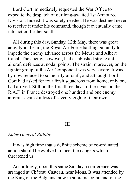Lord Gort immediately requested the War Office to expedite the despatch of our long-awaited 1st Armoured Division. Indeed it was sorely needed. He was destined never to receive it under his command, though it eventually came into action further south.

All during this day, Sunday, 12th May, there was great activity in the air, the Royal Air Force battling gallantly to impede the enemy advance across the Meuse and Albert Canal. The enemy, however, had established strong antiaircraft defences at nodal points. The strain, moreover, on the fighter group of the Air Component was very severe. It was by now reduced to some fifty aircraft, and although Lord Gort had asked for four fresh squadrons from home, only one had arrived. Still, in the first three days of the invasion the R.A.F. in France destroyed one hundred and one enemy aircraft, against a loss of seventy-eight of their own.

## III

## *Enter General Billotte*

It was high time that a definite scheme of co-ordinated action should be evolved to meet the dangers which threatened us.

Accordingly, upon this same Sunday a conference was arranged at Château Casteau, near Mons. It was attended by the King of the Belgians, now in supreme command of the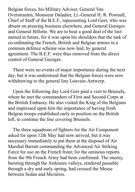Belgian forces, his Military Adviser, General Van Overstraeten, Monsieur Daladier, Lt.-General H. R. Pownall, Chief of Staff of the B.E.F., representing Lord Gort, who was absent on pressing business elsewhere, and General Georges and General Billotte. We are to hear a good deal of the lastnamed in future, for it was upon his shoulders that the task of co-ordinating the French, British and Belgian armies in a common defence scheme was now laid, by general agreement. The B.E.F. were thus removed from the direct control of General Georges.

There were no events of major importance during the next day, but it was understood that the Belgian forces were now withdrawing to the general line Louvain-Antwerp.

Upon the following day Lord Gort paid a visit to Brussels, where he met the commanders of First and Second Corps at the British Embassy. He also visited the King of the Belgians and impressed upon him the importance of having fresh Belgian troops established early in position on the British left, to continue the line covering Brussels.

The three squadrons of fighters for the Air Component asked for upon 12th May had now arrived, but it was necessary immediately to put them at the disposal of Air Marshal Barratt commanding the Advanced Air Striking Force for use on the French front; for the ominous reports from the 9th French Army had been confirmed. The enemy, bursting through the Ardennes valleys, rendered passable through a dry and early spring, had crossed the Meuse between Sedan and Mezières.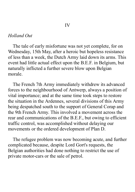## *Holland Out*

The tale of early misfortune was not yet complete, for on Wednesday, 15th May, after a heroic but hopeless resistance of less than a week, the Dutch Army laid down its arms. This event had little actual effect upon the B.E.F. in Belgium, but naturally inflicted a further severe blow upon Belgian morale.

The French 7th Army immediately withdrew its advanced forces to the neighbourhood of Antwerp, always a position of vital importance; and at the same time took steps to restore the situation in the Ardennes, several divisions of this Army being despatched south to the support of General Corap and the 9th French Army. This involved a movement across the rear and communications of the B.E.F., but owing to efficient traffic control, was accomplished without delaying our movements or the ordered development of Plan D.

The refugee problem was now becoming acute, and further complicated because, despite Lord Gort's requests, the Belgian authorities had done nothing to restrict the use of private motor-cars or the sale of petrol.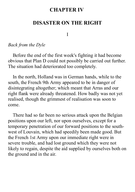# **CHAPTER IV**

# **DISASTER ON THE RIGHT**

I

## *Back from the Dyle*

Before the end of the first week's fighting it had become obvious that Plan D could not possibly be carried out further. The situation had deteriorated too completely.

In the north, Holland was in German hands, while to the south, the French 9th Army appeared to be in danger of disintegrating altogether; which meant that Arras and our right flank were already threatened. How badly was not yet realised, though the grimmest of realisation was soon to come.

There had so far been no serious attack upon the Belgian positions upon our left, nor upon ourselves, except for a temporary penetration of our forward positions to the southwest of Louvain, which had speedily been made good. But the French 1st Army upon our immediate right were in severe trouble, and had lost ground which they were not likely to regain, despite the aid supplied by ourselves both on the ground and in the air.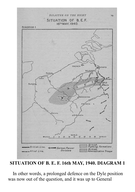

**SITUATION OF B. E. F. 16th MAY, 1940. DIAGRAM 1**

In other words, a prolonged defence on the Dyle position was now out of the question, and it was up to General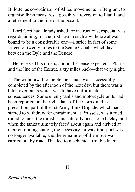Billotte, as co-ordinator of Allied movements in Belgium, to organise fresh measures—possibly a reversion to Plan E and a retirement to the line of the Escaut.

Lord Gort had already asked for instructions, especially as regards timing, for the first step in such a withdrawal was bound to be a considerable one—a stride in fact of some fifteen or twenty miles to the Senne Canals, which lay between the Dyle and the Dendre.

He received his orders, and in the sense expected—Plan E and the line of the Escaut, sixty miles back—that very night.

The withdrawal to the Senne canals was successfully completed by the afternoon of the next day, but there was a hitch over tanks which was to have unfortunate consequences. Some enemy tanks and motorcycle units had been reported on the right flank of 1st Corps, and as a precaution, part of the 1st Army Tank Brigade, which had started to withdraw for entrainment at Brussels, was turned round to meet the thrust. This naturally occasioned delay, and when the tanks ultimately faced about again and arrived at their entraining station, the necessary railway transport was no longer available, and the remainder of the move was carried out by road. This led to mechanical trouble later.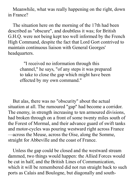Meanwhile, what was really happening on the right, down in France?

The situation here on the morning of the 17th had been described as "obscure", and doubtless it was; for British G.H.Q. were not being kept too well informed by the French High Command, despite the fact that Lord Gort contrived to maintain continuous liaison with General Georges' headquarters.

> "I received no information through this channel," he says, "of any steps it was prepared to take to close the gap which might have been effected by my own command."

But alas, there was no "obscurity" about the actual situation at all. The rumoured "gap" had become a corridor. The enemy, in strength increasing to ten armoured divisions, had broken through on a front of some twenty miles south of the Forest of Mormal, and their advance guard of swift tanks and motor-cycles was pouring westward right across France —across the Meuse, across the Oise, along the Somme, straight for Abbeville and the coast of France.

Unless the gap could be closed and the westward stream dammed, two things would happen: the Allied Forces would be cut in half, and the British Lines of Communication, which it will be remembered did not run straight back to such ports as Calais and Boulogne, but diagonally and south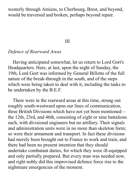westerly through Amiens, to Cherbourg, Brest, and beyond, would be traversed and broken, perhaps beyond repair.

#### III

## *Defence of Rearward Areas*

Having anticipated somewhat, let us return to Lord Gort's Headquarters. Here, at last, upon the night of Sunday, the 19th, Lord Gort was informed by General Billotte of the full nature of the break-through in the south, and of the steps which were being taken to deal with it, including the tasks to be undertaken by the B.E.F.

There were in the rearward areas at this time, strung out roughly south-westward upon our lines of communication, three British Divisions which have not yet been mentioned the 12th, 23rd, and 46th, consisting of eight or nine battalions each, with divisional engineers but no artillery. Their signals and administration units were in no more than skeleton form; so were their armament and transport. In fact these divisions had merely been brought out to France to work and train, and there had been no present intention that they should undertake combatant duties, for which they were ill-equipped and only partially prepared. But every man was needed now, and right nobly did this improvised defence force rise to the nightmare emergencies of the moment.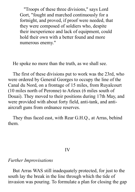"Troops of these three divisions," says Lord Gort, "fought and marched continuously for a fortnight, and proved, if proof were needed, that they were composed of soldiers who, despite their inexperience and lack of equipment, could hold their own with a better found and more numerous enemy."

He spoke no more than the truth, as we shall see.

The first of these divisions put to work was the 23rd, who were ordered by General Georges to occupy the line of the Canal du Nord, on a frontage of 15 miles, from Ruyalcourt (10 miles north of Peronne) to Arleux (6 miles south of Douai). They moved to their positions during 17th May, and were provided with about forty field, anti-tank, and antiaircraft guns from ordnance reserves.

They thus faced east, with Rear G.H.Q., at Arras, behind them.

#### IV

#### *Further Improvisations*

But Arras WAS still inadequately protected, for just to the south lay the break in the line through which the tide of invasion was pouring. To formulate a plan for closing the gap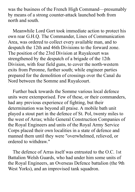was the business of the French High Command—presumably by means of a strong counter-attack launched both from north and south.

Meanwhile Lord Gort took immediate action to protect his own rear G.H.Q. The Commander, Lines of Communication Area, was ordered to collect every available man, and to despatch the 12th and 46th Divisions to the forward zone. The position of the 23rd Division at Ruyalcourt was strengthened by the despatch of a brigade of the 12th Division, with four field guns, to cover the north-western exits from Peronne, further south; while engineer parties prepared for the demolition of crossings over the Canal du Nord between the Somme and Ruyalcourt.

Further back towards the Somme various local defence units were extemporised. Few of these, or their commanders, had any previous experience of fighting, but their determination was beyond all praise. A mobile bath unit played a stout part in the defence of St. Pol, twenty miles to the west of Arras; while General Construction Companies of the Royal Engineers and units of the Royal Army Service Corps placed their own localities in a state of defence and manned them until they were "overwhelmed, relieved, or ordered to withdraw."

The defence of Arras itself was entrusted to the O.C. 1st Battalion Welsh Guards, who had under him some units of the Royal Engineers, an Overseas Defence battalion (the 9th West Yorks), and an improvised tank squadron.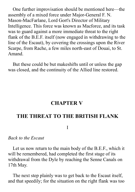One further improvisation should be mentioned here—the assembly of a mixed force under Major-General F. N. Mason-MacFarlane, Lord Gort's Director of Military Intelligence. This force was known as Macforce, and its task was to guard against a more immediate threat to the right flank of the B.E.F. itself (now engaged in withdrawing to the line of the Escaut), by covering the crossings upon the River Scarpe, from Rache, a few miles north-east of Douai, to St. Amand.

But these could be but makeshifts until or unless the gap was closed, and the continuity of the Allied line restored.

## **CHAPTER V**

## **THE THREAT TO THE BRITISH FLANK**

I

## *Back to the Escaut*

Let us now return to the main body of the B.E.F., which it will be remembered, had completed the first stage of its withdrawal from the Dyle by reaching the Senne Canals on 17th May.

The next step plainly was to get back to the Escaut itself, and that speedily; for the situation on the right flank was too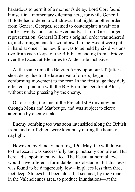hazardous to permit of a moment's delay. Lord Gort found himself in a momentary dilemma here, for while General Billotte had ordered a withdrawal that night, another order, from General Georges, seemed to contemplate a wait of a further twenty-four hours. Eventually, at Lord Gort's urgent representation, General Billotte's original order was adhered to, and arrangements for withdrawal to the Escaut were put in hand at once. The new line was to be held by six divisions, two from each Corps of the B.E.F., extending from a bridge over the Escaut at Bleharies to Audenarde inclusive.

At the same time the Belgian Army upon our left (after a short delay due to the late arrival of orders) began a conforming movement to the rear. In the first stage they duly effected a junction with the B.E.F. on the Dendre at Alost, without undue pressing by the enemy.

On our right, the line of the French 1st Army now ran through Mons and Maubeuge, and was subject to fierce attention by enemy tanks.

Enemy bombing too was soon intensified along the British front, and our fighters were kept busy during the hours of daylight.

However, by Sunday morning, 19th May, the withdrawal to the Escaut was successfully and punctually completed. But here a disappointment waited. The Escaut at normal level would have offered a formidable tank obstacle. But this level was found to be dangerously low—in places less than three feet deep. Sluices had been closed, it seemed, by the French in the Valenciennes area, to produce inundations—at the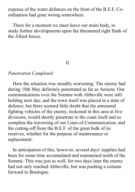expense of the water defences on the front of the B.E.F. Coordination had gone wrong somewhere.

There for a moment we must leave our main body, to study further developments upon the threatened right flank of the Allied forces.

# II

## *Penetration Completed*

Here the situation was steadily worsening. The enemy had during 18th May definitely penetrated as far as Amiens. Our communications over the Somme with Abbeville were still holding next day, and the town itself was placed in a state of defence; but there seemed little doubt that the armoured fighting vehicles of the enemy, reckoned in this area at five divisions, would shortly penetrate to the coast itself and so complete the traversing of our Lines of Communication, and the cutting-off from the B.E.F. of the great bulk of its reserves, whether for the purpose of maintenance or replacement.

In anticipation of this, however, several days' supplies had been for some time accumulated and maintained north of the Somme. This was just as well, for two days later the enemy had not only reached Abbeville, but was pushing a column forward to Boulogne.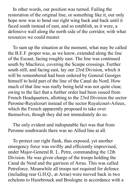In other words, our position was turned. Failing the restoration of the original line, or something like it, our only hope now was to bend our right wing back and back until it faced south instead of east, and so establish, as it were, a defensive wall along the north side of the corridor, with what resources we could muster.

To sum up the situation at the moment, what may be called the B.E.F. proper was, as we know, extended along the line of the Escaut, facing roughly east. The line was continued south by Macforce, covering the Scarpe crossings. Further south still, and facing east, lay our 23rd Division, which it will be remembered had been ordered by General Georges himself to hold part of the line of the Canal du Nord. How much of that line was really being held was not quite clear, owing to the fact that a further order had been issued from French Headquarters, allotting to the 23rd Division the sector Peronne-Ruyalcourt instead of the sector Ruyalcourt-Arleux, which the French apparently proposed to take over themselves, though they did not immediately do so.

The only evident and indisputable fact was that from Peronne southwards there was no Allied line at all.

To protect our right flank, thus exposed, yet another emergency force was swiftly and efficiently improvised, under Major-General R. L. Petre, commanding the 12th Division. He was given charge of the troops holding the Canal du Nord and the garrison of Arras. This was called Petreforce. Meanwhile all troops not required for defence (including rear G.H.Q., at Arras) were moved back in two echelons to Hazebrouck and Boulogne in accordance with a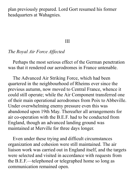plan previously prepared. Lord Gort resumed his former headquarters at Wahagnies.

#### III

## *The Royal Air Force Affected*

Perhaps the most serious effect of the German penetration was that it rendered our aerodromes in France untenable.

The Advanced Air Striking Force, which had been quartered in the neighbourhood of Rheims ever since the previous autumn, now moved to Central France, whence it could still operate; while the Air Component transferred one of their main operational aerodromes from Poix to Abbeville. Under overwhelming enemy pressure even this was abandoned upon 19th May. Thereafter all arrangements for air co-operation with the B.E.F. had to be conducted from England, though an advanced landing ground was maintained at Merville for three days longer.

Even under these trying and difficult circumstances organization and cohesion were still maintained. The air liaison work was carried out in England itself, and the targets were selected and visited in accordance with requests from the B.E.F.—telephoned or telegraphed home so long as communication remained open.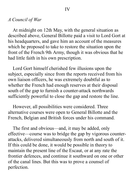## *A Council of War*

At midnight on 12th May, with the general situation as described above, General Billotte paid a visit to Lord Gort at his headquarters, and gave him an account of the measures which he proposed to take to restore the situation upon the front of the French 9th Army, though it was obvious that he had little faith in his own prescription.

Lord Gort himself cherished few illusions upon the subject, especially since from the reports received from his own liaison officers, he was extremely doubtful as to whether the French had enough reserves at their disposal south of the gap to furnish a counter-attack northwards sufficiently powerful to close the gap and restore the line.

However, all possibilities were considered. Three alternative courses were open to General Billotte and the French, Belgian and British forces under his command.

The first and obvious—and, it may be added, only effective—course was to bridge the gap by vigorous counterattacks, delivered simultaneously from north and south of it. If this could be done, it would be possible in theory to maintain the present line of the Escaut, or at any rate the frontier defences, and continue it southward on one or other of the canal lines. But this was to prove a counsel of perfection.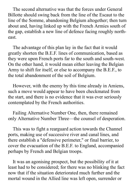The second alternative was that the forces under General Billotte should swing back from the line of the Escaut to the line of the Somme, abandoning Belgium altogether; then turn about and, having linked up with the French Armies south of the gap, establish a new line of defence facing roughly northeast.

The advantage of this plan lay in the fact that it would greatly shorten the B.E.F. lines of communication, based as they were upon French ports far to the south and south-west. On the other hand, it would mean either leaving the Belgian Army to shift for itself, or else to accompany the B.E.F., to the total abandonment of the soil of Belgium.

However, with the enemy by this time already in Amiens, such a move would appear to have been checkmated from the start, and there is no evidence that it was ever seriously contemplated by the French authorities.

Failing Alternative Number One, then, there remained only Alternative Number Three—the counsel of desperation.

This was to fight a rearguard action towards the Channel ports, making use of successive river and canal lines, and there establish a "defensive perimeter," or final barrier, to cover the evacuation of the B.E.F. to England, accompanied perhaps by French and Belgian troops.

It was an agonising prospect, but the possibility of it at least had to be considered; for there was no blinking the fact now that if the situation deteriorated much further and the mortal wound in the Allied line was left open, surrender or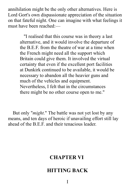annihilation might be the only other alternatives. Here is Lord Gort's own dispassionate appreciation of the situation on that fateful night. One can imagine with what feelings it must have been reached:—

> "I realised that this course was in theory a last alternative, and it would involve the departure of the B.E.F. from the theatre of war at a time when the French might need all the support which Britain could give them. It involved the virtual certainty that even if the excellent port facilities at Dunkirk continued to be available, it would be necessary to abandon all the heavier guns and much of the vehicles and equipment. Nevertheless, I felt that in the circumstances there might be no other course open to me."

But only "*might*." The battle was not yet lost by any means, and ten days of heroic if unavailing effort still lay ahead of the B.E.F. and their tenacious leader.

# **CHAPTER VI**

# **HITTING BACK**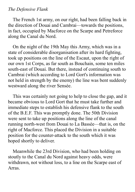## *The Defensive Flank*

The French 1st army, on our right, had been falling back in the direction of Douai and Cambrai—towards the positions, in fact, occupied by Macforce on the Scarpe and Petreforce along the Canal du Nord.

On the night of the 19th May this Army, which was in a state of considerable disorganisation after its hard fighting, took up positions on the line of the Escaut, upon the right of our own 1st Corps, as far south as Bouchain, some ten miles south-east of Douai. But there, instead of continuing south to Cambrai (which according to Lord Gort's information was not held in strength by the enemy) the line was bent suddenly westward along the river Sensée.

This was certainly not going to help to close the gap, and it became obvious to Lord Gort that he must take further and immediate steps to establish his defensive flank to the south of the B.E.F. This was promptly done. The 50th Division were sent to take up positions along the line of the canal running north-west from Douai to La Bassée—that is, on the right of Macforce. This placed the Division in a suitable position for the counter-attack to the south which it was hoped shortly to deliver.

Meanwhile the 23rd Division, who had been holding on stoutly to the Canal du Nord against heavy odds, were withdrawn, not without loss, to a line on the Scarpe east of Arras.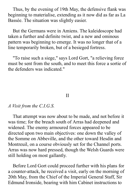Thus, by the evening of 19th May, the defensive flank was beginning to materialise, extending as it now did as far as La Bassée. The situation was slightly easier.

But the Germans were in Amiens. The kaleidoscope had taken a further and definite twist, and a new and ominous pattern was beginning to emerge. It was no longer that of a line temporarily broken, but of a besieged fortress.

"To raise such a siege," says Lord Gort, "a relieving force must be sent from the south, and to meet this force a sortie of the defenders was indicated."

#### II

## *A Visit from the C.I.G.S.*

That attempt was now about to be made, and not before it was time; for the breach south of Arras had deepened and widened. The enemy armoured forces appeared to be directed upon two main objectives: one down the valley of the Somme on Abbeville, and the other toward Hesdin and Montreuil, on a course obviously set for the Channel ports. Arras was now hard pressed, though the Welsh Guards were still holding on most gallantly.

Before Lord Gort could proceed further with his plans for a counter-attack, he received a visit, early on the morning of 20th May, from the Chief of the Imperial General Staff, Sir Edmund Ironside, bearing with him Cabinet instructions to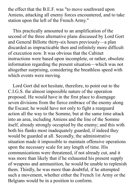the effect that the B.E.F. was "to move southward upon Amiens, attacking all enemy forces encountered, and to take station upon the left of the French Army."

This practically amounted to an amplification of the second of the three alternative plans discussed by Lord Gort and General Billotte thirty-six hours previously—a plan discarded as impracticable then and infinitely more difficult of execution now. It was obvious that the Cabinet instructions were based upon incomplete, or rather, obsolete information regarding the present situation—which was not altogether surprising, considering the breathless speed with which events were moving.

Lord Gort did not hesitate, therefore, to point out to the C.I.G.S. the almost impossible nature of the operation proposed. He would have in the first place to disengage seven divisions from the fierce embrace of the enemy along the Escaut; he would have not only to fight a rearguard action all the way to the Somme, but at the same time attack into an area, including Amiens and the line of the Somme itself, already strongly occupied by the enemy; and this with both his flanks most inadequately guarded, if indeed they would be guarded at all. Secondly, the administrative situation made it impossible to maintain offensive operations upon the necessary scale for any length of time. His communications were threatened, if not already cut, and it was more than likely that if he exhausted his present supply of weapons and ammunition, he would be unable to replenish them. Thirdly, he was more than doubtful, if he attempted such a movement, whether either the French 1st Army or the Belgians would be in a position to conform.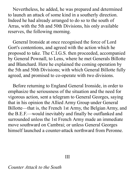Nevertheless, he added, he was prepared and determined to launch an attack of some kind in a southerly direction. Indeed he had already arranged to do so to the south of Arras, with the 5th and 50th Divisions, his only available reserves, the following morning.

General Ironside at once recognised the force of Lord Gort's contentions, and agreed with the action which he proposed to take. The C.I.G.S. then proceeded, accompanied by General Pownall, to Lens, where he met Generals Billotte and Blanchard. Here he explained the coming operation by the 5th and 50th Divisions; with which General Billotte fully agreed, and promised to co-operate with two divisions.

Before returning to England General Ironside, in order to emphasize the seriousness of the situation and the need for vigorous action, sent a telegram to General Georges, saying that in his opinion the Allied Army Group under General Billotte—that is, the French 1st Army, the Belgian Army, and the B.E.F.—would inevitably and finally be outflanked and surrounded unless the 1st French Army made an immediate move southward on Cambrai; or unless General Georges himself launched a counter-attack northward from Peronne.

III

*Counter Attack to the South*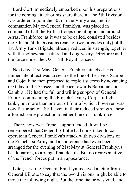Lord Gort immediately embarked upon his preparations for the coming attack or his share therein. The 5th Division was ordered to join the 50th in the Vimy area, and its commander, Major-General Franklyn, was placed in command of all the British troops operating in and around Arras. Frankforce, as it was to be called, consisted besides the 5th and 50th Divisions (each of two brigades only) of the 1st Army Tank Brigade, already reduced in strength, together with the somewhat scattered and dog-weary Petreforce and the force under the O.C. 12th Royal Lancers.

Next day, 21st May, General Franklyn attacked. His immediate object was to secure the line of the rivers Scarpe and Cojeul: he then proposed to exploit success by advancing next day to the Sensée, and thence towards Bapaume and Cambrai. He had the full and willing support of General Prioux, commanding the French Cavalry Corps of light tanks, not more than one out of four of which, however, was now fit for action. Still, even in their reduced strength, these afforded some protection to either flank of Frankforce.

There, however, French support ended. It will be remembered that General Billotte had undertaken to cooperate in General Franklyn's attack with two divisions of the French 1st Army, and a conference had even been arranged for the evening of 21st May at General Franklyn's headquarters, to arrange final details. But no representative of the French forces put in an appearance.

Later, it is true, General Franklyn received a letter from General Billotte to say that the two divisions might be able to move the following night. But the time factor was vital, and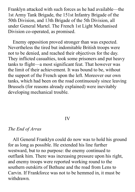Franklyn attacked with such forces as he had available—the 1st Army Tank Brigade, the 151st Infantry Brigade of the 50th Division, and 13th Brigade of the 5th Division, all under General Martel. The French 1st Light Mechanised Division co-operated, as promised.

Enemy opposition proved stronger than was expected. Nevertheless the tired but indomitable British troops were not to be denied, and reached their objectives for the day. They inflicted casualties, took some prisoners and put heavy tanks to flight—a most significant feat. That however was the limit of their achievement. It was bound to be, without the support of the French upon the left. Moreover our own tanks, which had been on the road continuously since leaving Brussels (for reasons already explained) were inevitably developing mechanical trouble.

## IV

## *The End of Arras*

All General Franklyn could do now was to hold his ground for as long as possible. He extended his line further westward, but to no purpose: the enemy continued to outflank him. There was increasing pressure upon his right, and enemy troops were reported working round to the southern outskirts of Bethune and the road from Lens to Carvin. If Frankforce was not to be hemmed in, it must be withdrawn.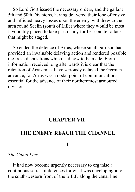So Lord Gort issued the necessary orders, and the gallant 5th and 50th Divisions, having delivered their lone offensive and inflicted heavy losses upon the enemy, withdrew to the area round Seclin (south of Lille) where they would be most favourably placed to take part in any further counter-attack that might be staged.

So ended the defence of Arras, whose small garrison had provided an invaluable delaying action and rendered possible the fresh dispositions which had now to be made. From information received long afterwards it is clear that the retention of Arras must have seriously delayed the German advance, for Arras was a nodal point of communications essential for the advance of their northernmost armoured divisions.

# **CHAPTER VII**

# **THE ENEMY REACH THE CHANNEL**

I

## *The Canal Line*

It had now become urgently necessary to organise a continuous series of defences for what was developing into the south-western front of the B.E.F. along the canal line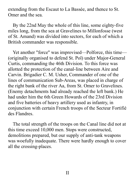extending from the Escaut to La Bassée, and thence to St. Omer and the sea.

By the 22nd May the whole of this line, some eighty-five miles long, from the sea at Gravelines to Millonfosse (west of St. Amand) was divided into sectors, for each of which a British commander was responsible.

Yet another "force" was improvised—Polforce, this time— (originally organised to defend St. Pol) under Major-General Curtis, commanding the 46th Division. To this force was allotted the protection of the canal-line between Aire and Carvin. Brigadier C. M. Usher, Commander of one of the lines of communication Sub-Areas, was placed in charge of the right bank of the river Aa, from St. Omer to Gravelines. (Enemy detachments had already reached the left bank.) He had under him the 6th Green Howards of the 23rd Division and five batteries of heavy artillery used as infantry, in conjunction with certain French troops of the Secteur Fortifié des Flandres.

The total strength of the troops on the Canal line did not at this time exceed 10,000 men. Stops were constructed, demolitions prepared, but our supply of anti-tank weapons was woefully inadequate. There were hardly enough to cover all the crossing-places.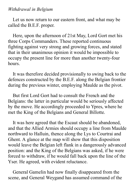### *Withdrawal in Belgium*

Let us now return to our eastern front, and what may be called the B.E.F. proper.

Here, upon the afternoon of 21st May, Lord Gort met his three Corps Commanders. These reported continuous fighting against very strong and growing forces, and stated that in their unanimous opinion it would be impossible to occupy the present line for more than another twenty-four hours.

It was therefore decided provisionally to swing back to the defences constructed by the B.E.F. along the Belgian frontier during the previous winter, employing Maulde as the pivot.

But first Lord Gort had to consult the French and the Belgians: the latter in particular would be seriously affected by the move. He accordingly proceeded to Ypres, where he met the King of the Belgians and General Billotte.

It was here agreed that the Escaut should be abandoned, and that the Allied Armies should occupy a line from Maulde northward to Halluin, thence along the Lys to Courtrai and Ghent. A glance at the map will show that this disposition would leave the Belgian left flank in a dangerously advanced position: and the King of the Belgians was asked, if he were forced to withdraw, if he would fall back upon the line of the Yser. He agreed, with evident reluctance.

General Gamelin had now finally disappeared from the scene, and General Weygand has assumed command of the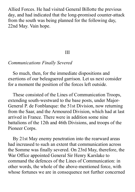Allied Forces. He had visited General Billotte the previous day, and had indicated that the long-promised counter-attack from the south was being planned for the following day, 22nd May. Vain hope.

### III

## *Communications Finally Severed*

So much, then, for the immediate dispositions and exertions of our beleaguered garrison. Let us next consider for a moment the position of the forces left outside.

These consisted of the Lines of Communication Troops, extending south-westward to the base posts, under Major-General P. de Fonblanque: the 51st Division, now returning from the Saar, and the Armoured Division, which had at last arrived in France. There were in addition some nine battalions of the 12th and 46th Divisions, and troops of the Pioneer Corps.

By 21st May enemy penetration into the rearward areas had increased to such an extent that communication across the Somme was finally severed. On 23rd May, therefore, the War Office appointed General Sir Henry Karslake to command the defences of the Lines of Communication: in other words, the whole of the above-mentioned force, with whose fortunes we are in consequence not further concerned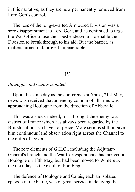in this narrative, as they are now permanently removed from Lord Gort's control.

The loss of the long-awaited Armoured Division was a sore disappointment to Lord Gort, and he continued to urge the War Office to use their best endeavours to enable the Division to break through to his aid. But the barrier, as matters turned out, proved impenetrable.

#### IV

### *Boulogne and Calais Isolated*

Upon the same day as the conference at Ypres, 21st May, news was received that an enemy column of all arms was approaching Boulogne from the direction of Abbeville.

This was a shock indeed, for it brought the enemy to a district of France which has always been regarded by the British nation as a haven of peace. More serious still, it gave him continuous land observation right across the Channel to the cliffs of Dover.

The rear elements of G.H.Q., including the Adjutant-General's branch and the War Correspondents, had arrived in Boulogne on 18th May, but had been moved to Wimereux the next day, as the result of bombing.

The defence of Boulogne and Calais, each an isolated episode in the battle, was of great service in delaying the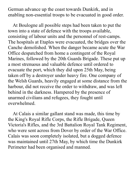German advance up the coast towards Dunkirk, and in enabling non-essential troops to be evacuated in good order.

At Boulogne all possible steps had been taken to put the town into a state of defence with the troops available, consisting of labour units and the personnel of rest-camps. The hospitals at Etaples were evacuated, the bridges over the Canche demolished. When the danger became acute the War Office despatched from home a contingent of the Royal Marines, followed by the 20th Guards Brigade. These put up a most strenuous and valuable defence until ordered to evacuate the port, which they did upon 25th May, being taken off by a destroyer under heavy fire. One company of the Welsh Guards, heavily engaged at some distance from the harbour, did not receive the order to withdraw, and was left behind in the darkness. Hampered by the presence of unarmed civilians and refugees, they fought until overwhelmed.

At Calais a similar gallant stand was made, this time by the King's Royal Rifle Corps, the Rifle Brigade, Queen Victoria's Rifles, and the 3rd Battalion Royal Tank Regiment, who were sent across from Dover by order of the War Office. Calais was soon completely isolated, but a dogged defence was maintained until 27th May, by which time the Dunkirk Perimeter had been organised and manned.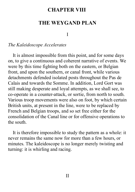# **CHAPTER VIII**

# **THE WEYGAND PLAN**

I

## *The Kaleidoscope Accelerates*

It is almost impossible from this point, and for some days on, to give a continuous and coherent narrative of events. We were by this time fighting both on the eastern, or Belgian front, and upon the southern, or canal front, while various detachments defended isolated posts throughout the Pas de Calais and towards the Somme. In addition, Lord Gort was still making desperate and loyal attempts, as we shall see, to co-operate in a counter-attack, or sortie, from north to south. Various troop movements were also on foot, by which certain British units, at present in the line, were to be replaced by French and Belgian troops, and so set free either for the consolidation of the Canal line or for offensive operations to the south.

It is therefore impossible to study the pattern as a whole: it never remains the same now for more than a few hours, or minutes. The kaleidoscope is no longer merely twisting and turning: it is whirling and racing.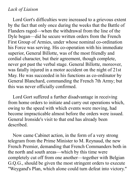## *Lack of Liaison*

Lord Gort's difficulties were increased to a grievous extent by the fact that only once during the weeks that the Battle of Flanders raged—when the withdrawal from the line of the Dyle began—did he secure written orders from the French First Group of Armies, under whose nominal co-ordination his Force was serving. His co-operation with his immediate superior, General Billotte, was of the most friendly and cordial character, but their agreement, though complete, never got past the verbal stage. General Billotte, moreover, was fatally injured in a motor accident on the night of 21st May. He was succeeded in his functions as co-ordinator by General Blanchard, commanding the French 7th Army; but this was never officially confirmed.

Lord Gort suffered a further disadvantage in receiving from home orders to initiate and carry out operations which, owing to the speed with which events were moving, had become impracticable almost before the orders were issued. General Ironside's visit to that end has already been described.

Now came Cabinet action, in the form of a very strong telegram from the Prime Minister to M. Reynaud, the new French Premier, demanding that French Commanders both in the north and south areas—which by this time were completely cut off from one another—together with Belgian G.Q.G., should be given the most stringent orders to execute "Weygand's Plan, which alone could turn defeat into victory."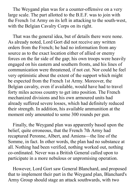The Weygand plan was for a counter-offensive on a very large scale. The part allotted to the B.E.F. was to join with the French 1st Army on its left in attacking to the south-west, with the Belgian Cavalry Corps on its right.

That was the general idea, but of details there were none. As already noted, Lord Gort did not receive any written orders from the French; he had no information from any source as to the exact location either of allied or enemy forces on the far side of the gap; his own troops were heavily engaged on his eastern and southern fronts, and his lines of communication were threatened, if not cut. Nor could he feel very optimistic about the extent of the support which might be expected from the French 1st Army. Moreover, the Belgian cavalry, even if available, would have had to travel forty miles across country to get into position. The French mechanized divisions and his own armoured units had already suffered severe losses, which had definitely reduced their strength. In addition, his available ammunition at the moment only amounted to some 300 rounds per gun.

Finally, the Weygand plan was apparently based upon the belief, quite erroneous, that the French 7th Army had recaptured Peronne, Albert, and Amiens—the line of the Somme, in fact. In other words, the plan had no substance at all. Nothing had been verified, nothing worked out, nothing co-ordinated. Never was a British General called upon to participate in a more nebulous or unpromising operation.

However, Lord Gort saw General Blanchard, and proposed that to implement their part in the Weygand plan, Blanchard's Army Group should stage an attack southwards, with two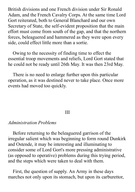British divisions and one French division under Sir Ronald Adam, and the French Cavalry Corps. At the same time Lord Gort reiterated, both to General Blanchard and our own Secretary of State, the self-evident proposition that the main effort must come from south of the gap, and that the northern forces, beleaguered and hammered as they were upon every side, could effect little more than a sortie.

Owing to the necessity of finding time to effect the essential troop movements and reliefs, Lord Gort stated that he could not be ready until 26th May. It was then 23rd May.

There is no need to enlarge further upon this particular operation, as it was destined never to take place. Once more events had moved too quickly.

## III

### *Administration Problems*

Before returning to the beleaguered garrison of the irregular salient which was beginning to form round Dunkirk and Ostende, it may be interesting and illuminating to consider some of Lord Gort's more pressing administrative (as opposed to operative) problems during this trying period, and the steps which were taken to deal with them.

First, the question of supply. An Army in these days marches not only upon its stomach, but upon its carburettor,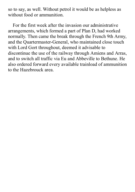so to say, as well. Without petrol it would be as helpless as without food or ammunition.

For the first week after the invasion our administrative arrangements, which formed a part of Plan D, had worked normally. Then came the break through the French 9th Army, and the Quartermaster-General, who maintained close touch with Lord Gort throughout, deemed it advisable to discontinue the use of the railway through Amiens and Arras, and to switch all traffic via Eu and Abbeville to Bethune. He also ordered forward every available trainload of ammunition to the Hazebrouck area.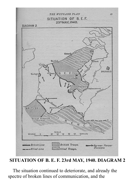

**SITUATION OF B. E. F. 23rd MAY, 1940. DIAGRAM 2**

The situation continued to deteriorate, and already the spectre of broken lines of communication, and the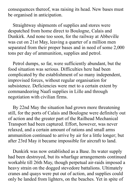consequences thereof, was raising its head. New bases must be organised in anticipation.

Straightway shipments of supplies and stores were despatched from home direct to Boulogne, Calais and Dunkirk. And none too soon, for the railway at Abbeville was cut on 21st May, leaving a quarter of a million men separated from their proper bases and in need of some 2,000 tons per day of ammunition, supplies and petrol.

Petrol dumps, so far, were sufficiently abundant, but the food situation was serious. Difficulties here had been complicated by the establishment of so many independent, improvised forces, without regular organisation for subsistence. Deficiencies were met to a certain extent by commandeering Naafi supplies in Lille and through negotiation with civilian firms.

By 22nd May the situation had grown more threatening still, for the ports of Calais and Boulogne were definitely out of action and the greater part of the Railhead Mechanical Transport had been captured. Effort, however, was never relaxed, and a certain amount of rations and small arms ammunition continued to arrive by air for a little longer; but after 23rd May it became impossible for aircraft to land.

Dunkirk was now established as a Base. Its water supply had been destroyed, but its wharfage arrangements continued workable till 26th May, though perpetual air-raids imposed a heavy strain on the dogged stevedore battalions. Ultimately cranes and quays were put out of action, and supplies could only be landed from lighters, on the beaches. Yet in spite of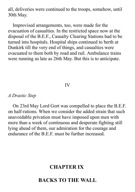all, deliveries were continued to the troops, somehow, until 30th May.

Improvised arrangements, too, were made for the evacuation of casualties. In the restricted space now at the disposal of the B.E.F., Casualty Clearing Stations had to be turned into hospitals. Hospital ships continued to berth at Dunkirk till the very end of things, and casualties were evacuated to them both by road and rail. Ambulance trains were running as late as 26th May. But this is to anticipate.

### IV

#### *A Drastic Step*

On 23rd May Lord Gort was compelled to place the B.E.F. on half-rations. When we consider the added strain that such unavoidable privation must have imposed upon men with more than a week of continuous and desperate fighting still lying ahead of them, our admiration for the courage and endurance of the B.E.F. must be further increased.

# **CHAPTER IX**

# **BACKS TO THE WALL**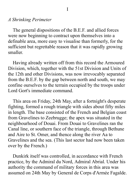## *A Shrinking Perimeter*

The general dispositions of the B.E.F. and allied forces were now beginning to contract upon themselves into a definable area, more easy to visualise than formerly, for the sufficient but regrettable reason that it was rapidly growing smaller.

Having already written off from this record the Armoured Division, which, together with the 51st Division and Units of the 12th and other Divisions, was now irrevocably separated from the B.E.F. by the gap between north and south, we may confine ourselves to the terrain occupied by the troops under Lord Gort's immediate command.

This area on Friday, 24th May, after a fortnight's desperate fighting, formed a rough triangle with sides about fifty miles in length. The base consisted of the French and Belgian coast from Gravelines to Zeebrugge; the apex was situated in the neighbourhood of Douai. From Douai to Gravelines ran the Canal line, or southern face of the triangle, through Bethune and Aire to St. Omer, and thence along the river Aa to Gravelines and the sea. (This last sector had now been taken over by the French.)

Dunkirk itself was controlled, in accordance with French practice, by the Admiral du Nord, Admiral Abrial. Under his authority the command of military forces in this area was assumed on 24th May by General de Corps d'Armée Fagalde.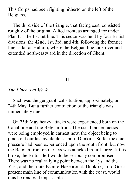This Corps had been fighting hitherto on the left of the Belgians.

The third side of the triangle, that facing east, consisted roughly of the original Allied front, as arranged for under Plan E—the Escaut line. This sector was held by four British divisions, the 42nd, 1st, 3rd, and 4th, following the frontier line as far as Halluin; where the Belgian line took over and extended north-eastward in the direction of Ghent.

## II

#### *The Pincers at Work*

Such was the geographical situation, approximately, on 24th May. But a further contraction of the triangle was immediately due.

On 25th May heavy attacks were experienced both on the Canal line and the Belgian front. The usual pincer tactics were being employed in earnest now, the object being to pinch out our last available seaport, Dunkirk. So far the chief pressure had been experienced upon the south front, but now the Belgian front on the Lys was attacked in full force. If this broke, the British left would be seriously compromised. There was no real rallying point between the Lys and the Yser, and the route Estaire-Hazebrouck-Dunkirk, Lord Gort's present main line of communication with the coast, would thus be rendered impassable.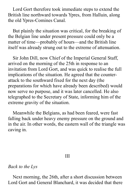Lord Gort therefore took immediate steps to extend the British line northward towards Ypres, from Halluin, along the old Ypres-Comines Canal.

But plainly the situation was critical, for the breaking of the Belgian line under present pressure could only be a matter of time—probably of hours—and the British line itself was already strung out to the extreme of attenuation.

Sir John Dill, now Chief of the Imperial General Staff, arrived on the morning of the 25th in response to an invitation from Lord Gort, and was quick to realise the full implications of the situation. He agreed that the counterattack to the southward fixed for the next day (the preparations for which have already been described) would now serve no purpose, and it was later cancelled. He also telegraphed to the Secretary of State, informing him of the extreme gravity of the situation.

Meanwhile the Belgians, as had been feared, were fast falling back under heavy enemy pressure on the ground and in the air. In other words, the eastern wall of the triangle was caving in.

III

#### *Back to the Lys*

Next morning, the 26th, after a short discussion between Lord Gort and General Blanchard, it was decided that there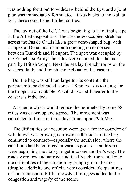was nothing for it but to withdraw behind the Lys, and a joint plan was immediately formulated. It was backs to the wall at last; there could be no further sorties.

The lay-out of the B.E.F. was beginning to take final shape in the Allied dispositions. The area now occupied stretched across the Pas de Calais like a great cone-shaped bag, with its apex at Douai and its mouth opening on to the sea between Dunkirk and Nieuport. The apex was occupied by the French 1st Army: the sides were manned, for the most part, by British troops. Next the sea lay French troops on the western flank, and French and Belgian on the eastern.

But the bag was still too large for its contents: the perimeter to be defended, some 128 miles, was too long for the troops now available. A withdrawal still nearer to the coast was indicated.

A scheme which would reduce the perimeter by some 58 miles was drawn up and agreed. The movement was calculated to finish in three days' time, upon 29th May.

The difficulties of execution were great, for the corridor of withdrawal was growing narrower as the sides of the bag continued to contract—especially the south side, where the canal line had been forced at various points—and troops were beginning inevitably to get into one another's way. The roads were few and narrow, and the French troops added to the difficulties of the situation by bringing into the area (despite a definite and official veto) considerable quantities of horse-transport. Pitiful crowds of refugees added to the congestion and tragedy of the scene.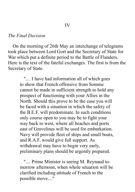### *The Final Decision*

On the morning of 26th May an interchange of telegrams took place between Lord Gort and the Secretary of State for War which put a definite period to the Battle of Flanders. Here is the text of the fateful exchanges. The first is from the Secretary of State.

> ".... I have had information all of which goes to show that French offensive from Somme cannot be made in sufficient strength to hold any prospect of functioning with your Allies in the North. Should this prove to be the case you will be faced with a situation in which the safety of the B.E.F. will predominate. In such conditions only course open to you may be to fight your way back to west, where all beaches and ports east of Gravelines will be used for embarkation. Navy will provide fleet of ships and small boats, and R.A.F. would give full support. As withdrawal may have to begin very early, preliminary plans should be urgently prepared.

".... Prime Minister is seeing M. Reynaud tomorrow afternoon, when whole situation will be clarified including attitude of French to the possible move...."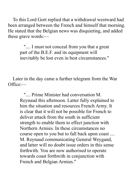To this Lord Gort replied that a withdrawal westward had been arranged between the French and himself that morning. He stated that the Belgian news was disquieting, and added these grave words:—

> ".... I must not conceal from you that a great part of the B.E.F. and its equipment will inevitably be lost even in best circumstances."

Later in the day came a further telegram from the War Office:—

> ".... Prime Minister had conversation M. Reynaud this afternoon. Latter fully explained to him the situation and resources French Army. It is clear that it will not be possible for French to deliver attack from the south in sufficient strength to enable them to effect junction with Northern Armies. In these circumstances no course open to you but to fall back upon coast .... M. Reynaud communicating General Weygand, and latter will no doubt issue orders in this sense forthwith. You are now authorised to operate towards coast forthwith in conjunction with French and Belgian Armies."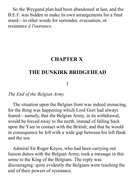So the Weygand plan had been abandoned at last, and the B.E.F. was bidden to make its own arrangements for a final stand—in other words for surrender, evacuation, or resistance *à l'outrance*.

# **CHAPTER X**

# **THE DUNKIRK BRIDGEHEAD**

I

#### *The End of the Belgian Army*

The situation upon the Belgian front was indeed menacing, for the thing was happening which Lord Gort had always feared—namely, that the Belgian Army, in its withdrawal, would be forced away to the north, instead of falling back upon the Yser in contact with the British; and that he would in consequence be left with a wide gap between his left flank and the sea.

Admiral Sir Roger Keyes, who had been carrying out liaison duties with the Belgian Army, took a message in this sense to the King of the Belgians. The reply was discouraging: quite evidently the Belgians were reaching the end of their powers of resistance.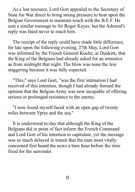As a last resource, Lord Gort appealed to the Secretary of State for War direct to bring strong pressure to bear upon the Belgian Government to maintain touch with the B.E.F. He sent a similar message to Sir Roger Keyes, but the Admiral's reply was fated never to reach him.

The receipt of the reply could have made little difference, for late upon the following evening, 27th May, Lord Gort was informed by the French General Koeltz, at Dunkirk, that the King of the Belgians had already asked for an armistice as from midnight that night. The blow was none the less staggering because it was fully expected.

"This," says Lord Gort, "was the first intimation I had received of this intention, though I had already formed the opinion that the Belgian Army was now incapable of offering serious or prolonged resistance to the enemy.

"I now found myself faced with an open gap of twenty miles between Ypres and the sea."

It is understood to-day that although the King of the Belgians did in point of fact inform the French Command and Lord Gort of his intention to capitulate, yet the message was so much delayed in transit that the man most vitally concerned first heard the news a bare hour before the time fixed for the surrender.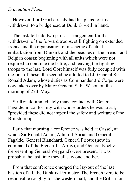## *Evacuation Plans*

However, Lord Gort already had his plans for final withdrawal to a bridgehead at Dunkirk well in hand.

The task fell into two parts—arrangement for the withdrawal of the forward troops, still fighting on extended fronts, and the organisation of a scheme of actual embarkation from Dunkirk and the beaches of the French and Belgian coasts; beginning with all units which were not required to continue the battle, and leaving the fighting troops to the last. Lord Gort himself was fully occupied with the first of these; the second he allotted to Lt.-General Sir Ronald Adam, whose duties as Commander 3rd Corps were now taken over by Major-General S. R. Wason on the morning of 27th May.

Sir Ronald immediately made contact with General Fagalde, in conformity with whose orders he was to act, "provided these did not imperil the safety and welfare of the British troops."

Early that morning a conference was held at Cassel, at which Sir Ronald Adam, Admiral Abrial and General Fagalde, General Blanchard, General Prioux (now in command of the French 1st Army), and General Koeltz (representing General Weygand) were present. It was probably the last time they all saw one another.

From that conference emerged the lay-out of the last bastion of all, the Dunkirk Perimeter. The French were to be responsible roughly for the western half, and the British for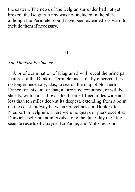the eastern. The news of the Belgian surrender had not yet broken, the Belgian Army was not included in the plan, although the Perimeter could have been extended eastward to include them if necessary.

### III

### *The Dunkirk Perimeter*

A brief examination of Diagram 3 will reveal the principal features of the Dunkirk Perimeter as it finally emerged. It is no longer necessary, alas, to search the map of Northern France for this unit or that; all are now contained, or will be shortly, within a shallow salient some fifteen miles wide and less than ten miles deep at its deepest, extending from a point on the coast midway between Gravelines and Dunkirk to Nieuport in Belgium. There were no quays or piers except at Dunkirk itself; but at intervals along the dunes lay the little seaside resorts of Coxyde, La Panne, and Malo-les-Bains.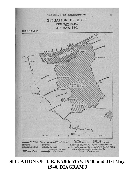

**SITUATION OF B. E. F. 28th MAY, 1940. and 31st May, 1940. DIAGRAM 3**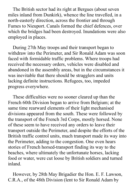The British sector had its right at Bergues (about seven miles inland from Dunkirk), whence the line travelled, in a north-easterly direction, across the frontier and through Fumes to Nieuport. Canals formed the chief defences, over which the bridges had been destroyed. Inundations were also employed in places.

During 27th May troops and their transport began to withdraw into the Perimeter, and Sir Ronald Adam was soon faced with formidable traffic problems. Where troops had received the necessary orders, vehicles were disabled and abandoned in the assembly areas, but in the circumstances it was inevitable that there should be stragglers and units lacking definite instructions. Refugees, too, impeded progress everywhere.

These difficulties were no sooner cleared up than the French 60th Division began to arrive from Belgium; at the same time rearward elements of their light mechanised divisions appeared from the south. These were followed by the transport of the French 3rd Corps, mostly horsed. None of these seem to have received any orders to leave their transport outside the Perimeter, and despite the efforts of the British traffic control units, much transport made its way into the Perimeter, adding to the congestion. One even hears stories of French horsed-transport finding its way to the beaches, where ultimately the unfortunate horses, lacking food or water, were cut loose by British soldiers and turned inland.

However, by 28th May Brigadier the Hon. E. F. Lawson, C.R.A., of the 48th Division (lent to Sir Ronald Adam by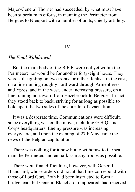Major-General Thorne) had succeeded, by what must have been superhuman efforts, in manning the Perimeter from Bergues to Nieuport with a number of units, chiefly artillery.

#### IV

### *The Final Withdrawal*

But the main body of the B.E.F. were not yet within the Perimeter; nor would be for another forty-eight hours. They were still fighting on two fronts, or rather flanks—in the east, on a line running roughly northward through Armentieres and Ypres; and in the west, under increasing pressure, on a line running northward from Hazebrouck to Bergues. In fact, they stood back to back, striving for as long as possible to hold apart the two sides of the corridor of evacuation.

It was a desperate time. Communications were difficult, since everything was on the move, including G.H.Q. and Corps headquarters. Enemy pressure was increasing everywhere, and upon the evening of 27th May came the news of the Belgian capitulation.

There was nothing for it now but to withdraw to the sea, man the Perimeter, and embark as many troops as possible.

There were final difficulties, however, with General Blanchard, whose orders did not at that time correspond with those of Lord Gort. Both had been instructed to form a bridgehead, but General Blanchard, it appeared, had received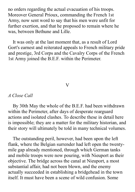no orders regarding the actual evacuation of his troops. Moreover General Prioux, commanding the French 1st Army, now sent word to say that his men were unfit for further exertion, and that he proposed to remain where he was, between Bethune and Lille.

It was only at the last moment that, as a result of Lord Gort's earnest and reiterated appeals to French military pride and prestige, 3rd Corps and the Cavalry Corps of the French 1st Army joined the B.E.F. within the Perimeter.

### $\overline{\text{V}}$

### *A Close Call*

By 30th May the whole of the B.E.F. had been withdrawn within the Perimeter, after days of desperate rearguard actions and isolated clashes. To describe these in detail here is impossible; they are a matter for the military historian, and their story will ultimately be told in many technical volumes.

The outstanding peril, however, had been upon the left flank, where the Belgian surrender had left open the twentymile gap already mentioned, through which German tanks and mobile troops were now pouring, with Nieuport as their objective. The bridge across the canal at Nieuport, a most substantial affair, had not been blown, and the enemy actually succeeded in establishing a bridgehead in the town itself. It must have been a scene of wild confusion. Some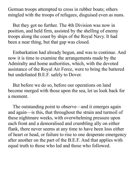German troops attempted to cross in rubber boats; others mingled with the troops of refugees, disguised even as nuns.

But they got no further. The 4th Division was now in position, and held firm, assisted by the shelling of enemy troops along the coast by ships of the Royal Navy. It had been a near thing, but that gap was closed.

Embarkation had already begun, and was to continue. And now it is time to examine the arrangements made by the Admiralty and home authorities, which, with the devoted assistance of the Royal Air Force, were to bring the battered but undefeated B.E.F. safely to Dover.

But before we do so, before our operations on land become merged with those upon the sea, let us look back for a moment.

The outstanding point to observe—and it emerges again and again—is this, that throughout the strain and turmoil of these nightmare weeks, with overwhelming pressure upon each front and a demoralised and crumbling ally on either flank, there never seems at any time to have been loss either of heart or head, or failure to rise to one desperate emergency after another on the part of the B.E.F. And that applies with equal truth to those who led and those who followed.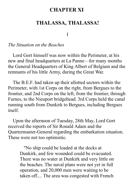# **CHAPTER XI**

## **THALASSA, THALASSA!**

I

### *The Situation on the Beaches*

Lord Gort himself was now within the Perimeter, at his new and final headquarters at La Panne—for many months the General Headquarters of King Albert of Belgium and the remnants of his little Army, during the Great War.

The B.E.F. had taken up their allotted sectors within the Perimeter, with 1st Corps on the right, from Bergues to the frontier, and 2nd Corps on the left, from the frontier, through Furnes, to the Nieuport bridgehead. 3rd Corps held the canal running south from Dunkirk to Bergues, including Bergues itself.

Upon the afternoon of Tuesday, 28th May, Lord Gort received the reports of Sir Ronald Adam and the Quartermaster-General regarding the embarkation situation. These were not too optimistic.

> "No ship could be loaded at the docks at Dunkirk, and few wounded could be evacuated. There was no water at Dunkirk and very little on the beaches. The naval plans were not yet in full operation, and 20,000 men were waiting to be taken off.... The area was congested with French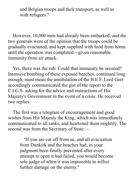and Belgian troops and their transport, as well as with refugees."

However, 10,000 men had already been embarked; and the two generals were of the opinion that the troops could be gradually evacuated, and kept supplied with food from home until the operation was completed—given reasonable immunity from air attack.

Yes, there was the rub. Could that immunity be secured? Intensive bombing of these exposed beaches, continued long enough, must mean the annihilation of the B.E.F. Lord Gort accordingly communicated the gist of the report to the C.I.G.S. asking for the advice and instructions of His Majesty's Government in the event of a crisis. He received two replies.

The first was a telegram of encouragement and good wishes from His Majesty the King, which was immediately communicated to all ranks, and heartened them mightily. The second was from the Secretary of State:—

"If you are cut off from us, and all evacuation from Dunkirk and the beaches had, in your judgment been finally prevented after every attempt to open it had failed, you would become sole judge of when it was impossible to inflict further damage on the enemy."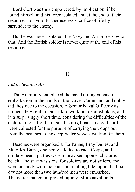Lord Gort was thus empowered, by implication, if he found himself and his force isolated and at the end of their resources, to avoid further useless sacrifice of life by surrender to the enemy.

But he was never isolated: the Navy and Air Force saw to that. And the British soldier is never quite at the end of his resources.

#### II

#### *Aid by Sea and Air*

The Admiralty had placed the naval arrangements for embarkation in the hands of the Dover Command, and nobly did they rise to the occasion. A Senior Naval Officer was immediately sent to Dunkirk to work out detailed plans, and in a surprisingly short time, considering the difficulties of the undertaking, a flotilla of small ships, boats, and odd craft were collected for the purpose of carrying the troops out from the beaches to the deep-water vessels waiting for them.

Beaches were organised at La Panne, Bray Dunes, and Malo-les-Bains, one being allotted to each Corps, and military beach parties were improvised upon each Corps beach. The start was slow, for soldiers are not sailors, and were unhandy with the boats on a falling tide; upon the first day not more than two hundred men were embarked. Thereafter matters improved rapidly. More naval units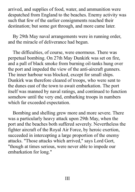arrived, and supplies of food, water, and ammunition were despatched from England to the beaches. Enemy activity was such that few of the earlier consignments reached their destination; but some got through, and more came later.

By 29th May naval arrangements were in running order, and the miracle of deliverance had begun.

The difficulties, of course, were enormous. There was perpetual bombing. On 27th May Dunkirk was set on fire, and a pall of black smoke from burning oil-tanks hung over the port and impeded the view of the anti-aircraft gunners. The inner harbour was blocked, except for small ships. Dunkirk was therefore cleared of troops, who were sent to the dunes east of the town to await embarkation. The port itself was manned by naval ratings, and continued to function somehow until the very end, embarking troops in numbers which far exceeded expectation.

Bombing and shelling grew more and more severe. There was a particularly heavy attack upon 29th May, when the port and the beaches both suffered severely. Nevertheless the fighter aircraft of the Royal Air Force, by heroic exertion, succeeded in intercepting a large proportion of the enemy attacks. "Those attacks which arrived," says Lord Gort, "though at times serious, were never able to impede our embarkation for long."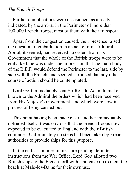### *The French Troops*

Further complications were occasioned, as already indicated, by the arrival in the Perimeter of more than 100,000 French troops, most of them with their transport.

Apart from the congestion caused, their presence raised the question of embarkation in an acute form. Admiral Abrial, it seemed, had received no orders from his Government that the whole of the British troops were to be embarked; he was under the impression that the main body of the B.E.F. would defend the Perimeter to the last, side by side with the French, and seemed surprised that any other course of action should be contemplated.

Lord Gort immediately sent Sir Ronald Adam to make known to the Admiral the orders which had been received from His Majesty's Government, and which were now in process of being carried out.

This point having been made clear, another immediately obtruded itself. It was obvious that the French troops now expected to be evacuated to England with their British comrades. Unfortunately no steps had been taken by French authorities to provide ships for this purpose.

In the end, as an interim measure pending definite instructions from the War Office, Lord Gort allotted two British ships to the French forthwith, and gave up to them the beach at Malo-les-Bains for their own use.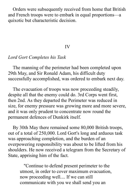Orders were subsequently received from home that British and French troops were to embark in equal proportions—a quixotic but characteristic decision.

#### IV

### *Lord Gort Completes his Task*

The manning of the perimeter had been completed upon 29th May, and Sir Ronald Adam, his difficult duty successfully accomplished, was ordered to embark next day.

The evacuation of troops was now proceeding steadily, despite all that the enemy could do. 3rd Corps went first, then 2nd. As they departed the Perimeter was reduced in size, for enemy pressure was growing more and more severe, and it was only prudent to concentrate now round the permanent defences of Dunkirk itself.

By 30th May there remained some 80,000 British troops, out of a total of 250,000. Lord Gort's long and arduous task was approaching completion, and the burden of an overpowering responsibility was about to be lifted from his shoulders. He now received a telegram from the Secretary of State, apprising him of the fact.

"Continue to defend present perimeter to the utmost, in order to cover maximum evacuation, now proceeding well.... If we can still communicate with you we shall send you an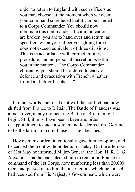order to return to England with such officers as you may choose, at the moment when we deem your command so reduced that it can be handed to a Corps Commander. You should now nominate this commander. If communications are broken, you are to hand over and return, as specified, when your effective fighting force does not exceed equivalent of three divisions. This is in accordance with correct military procedure, and no personal discretion is left to you in the matter.... The Corps Commander chosen by you should be ordered to carry on defence and evacuation with French, whether from Dunkirk or beaches..."

In other words, the focal centre of the conflict had now shifted from France to Britain. The Battle of Flanders was almost over; at any moment the Battle of Britain might begin. Still, it must have been a keen and bitter disappointment to such a soldier and leader as Lord Gort not to be the last man to quit those stricken beaches.

However, his orders intentionally gave him no option, and he carried them out without demur or delay. On the afternoon of 31st May he informed Major-General the Hon. H. R. L. G. Alexander that he had selected him to remain in France in command of the 1st Corps, now numbering less than 20,000 men, and passed on to him the instructions which he himself had received from His Majesty's Government, which were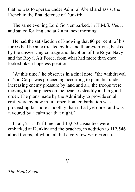that he was to operate under Admiral Abrial and assist the French in the final defence of Dunkirk.

The same evening Lord Gort embarked, in H.M.S. *Hebe*, and sailed for England at 2 a.m. next morning.

He had the satisfaction of knowing that 80 per cent. of his forces had been extricated by his and their exertions, backed by the unswerving courage and devotion of the Royal Navy and the Royal Air Force, from what had more than once looked like a hopeless position.

"At this time," he observes in a final note, "the withdrawal of 2nd Corps was proceeding according to plan, but under increasing enemy pressure by land and air; the troops were moving to their places on the beaches steadily and in good order. The plans made by the Admiralty to provide small craft were by now in full operation; embarkation was proceeding far more smoothly than it had yet done, and was favoured by a calm sea that night."

In all, 211,532 fit men and 13,053 casualties were embarked at Dunkirk and the beaches, in addition to 112,546 allied troops, of whom all but a very few were French.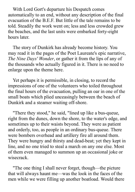With Lord Gort's departure his Despatch comes automatically to an end, without any description of the final evacuation of the B.E.F. But little of the tale remains to be told. Steadily the work went on; less and less crowded grew the beaches, and the last units were embarked forty-eight hours later.

The story of Dunkirk has already become history. You may read it in the pages of the Poet Laureate's epic narrative, *The Nine Days' Wonder*, or gather it from the lips of any of the thousands who actually figured in it. There is no need to enlarge upon the theme here.

Yet perhaps it is permissible, in closing, to record the impressions of one of the volunteers who toiled throughout the final hours of the evacuation, pulling an oar in one of the small boats which plied unceasingly between the beach of Dunkirk and a steamer waiting off-shore.

"There they stood," he said, "lined up like a bus-queue, right from the dunes, down the shore, to the water's edge, and sometimes up to their waists beyond. They were as patient and orderly, too, as people in an ordinary bus-queue. There were bombers overhead and artillery fire all around them. They were hungry and thirsty and dead-beat; yet they kept in line, and no one tried to steal a march on any one else. Most of them even managed to summon up an occasional joke or wisecrack.

"The one thing I shall never forget, though—the picture that will always haunt me—was the look in the faces of the men while we were filling up another boatload. Would there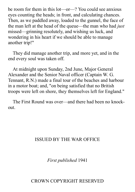be room for them in this lot—or—? You could see anxious eyes counting the heads; in front, and calculating chances. Then, as we paddled away, loaded to the gunnel, the face of the man left at the head of the queue—the man who had *just* missed—grinning resolutely, and wishing us luck, and wondering in his heart if we should be able to manage another trip!"

They did manage another trip, and more yet, and in the end every soul was taken off.

At midnight upon Sunday, 2nd June, Major General Alexander and the Senior Naval officer (Captain W. G. Tennant, R.N.) made a final tour of the beaches and harbour in a motor boat; and, "on being satisfied that no British troops were left on shore, they themselves left for England."

The First Round was over—and there had been no knockout.

## ISSUED BY THE WAR OFFICE

*First published* 1941

## CROWN COPYRIGHT RESERVED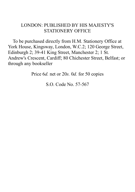## LONDON: PUBLISHED BY HIS MAJESTY'S STATIONERY OFFICE

To be purchased directly from H.M. Stationery Office at York House, Kingsway, London, W.C.2; 120 George Street, Edinburgh 2; 39-41 King Street, Manchester 2; 1 St. Andrew's Crescent, Cardiff; 80 Chichester Street, Belfast; or through any bookseller

Price 6*d.* net or 20*s.* 0*d.* for 50 copies

S.O. Code No. 57-567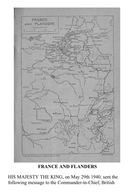

**FRANCE AND FLANDERS**

HIS MAJESTY THE KING, on May 29th 1940, sent the following message to the Commander-in-Chief, British